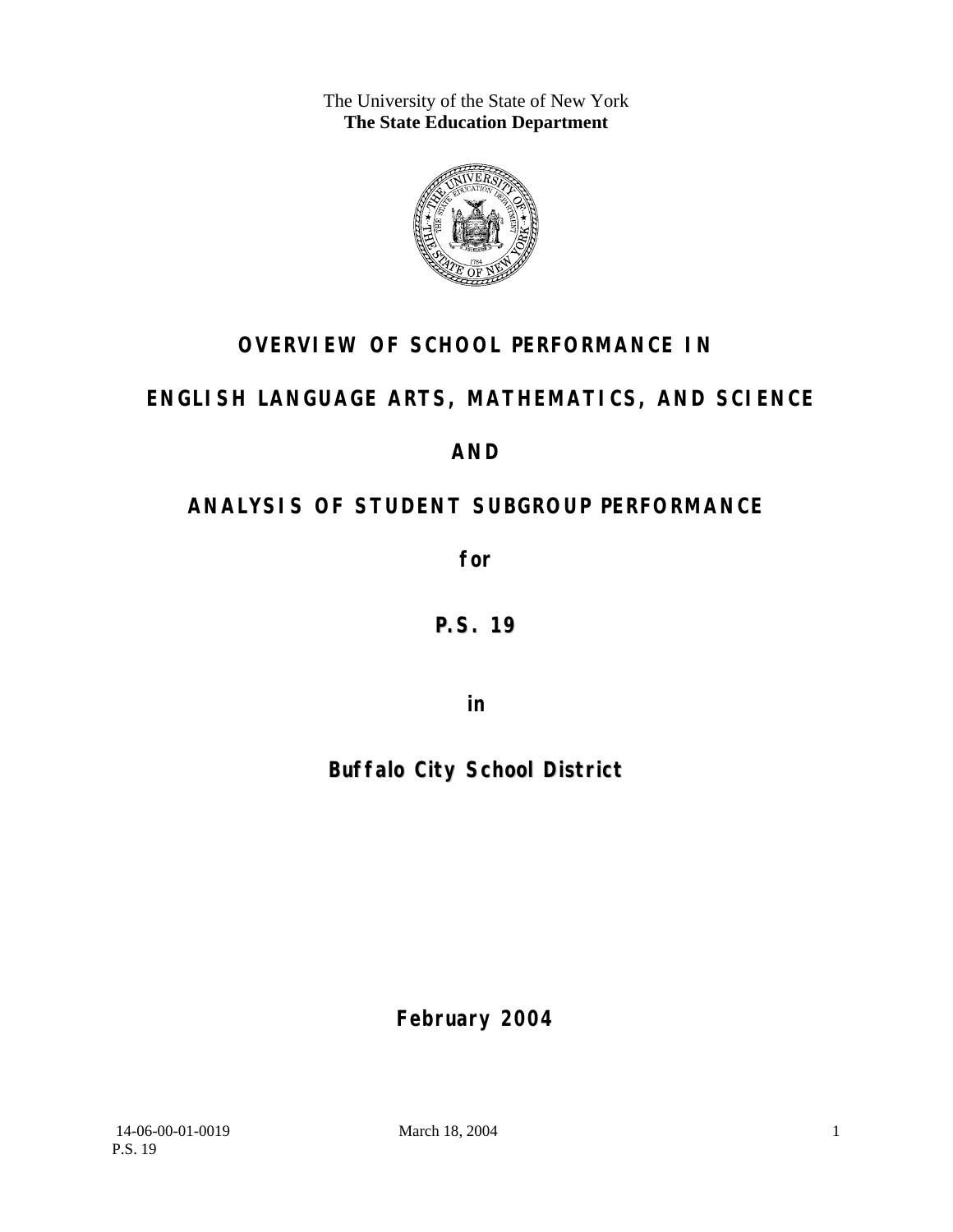The University of the State of New York **The State Education Department** 



# **OVERVIEW OF SCHOOL PERFORMANCE IN**

## **ENGLISH LANGUAGE ARTS, MATHEMATICS, AND SCIENCE**

**AND** 

# **ANALYSIS OF STUDENT SUBGROUP PERFORMANCE**

**for** 

# **P.S. 19**

**in** 

# **Buffalo City School District**

**February 2004**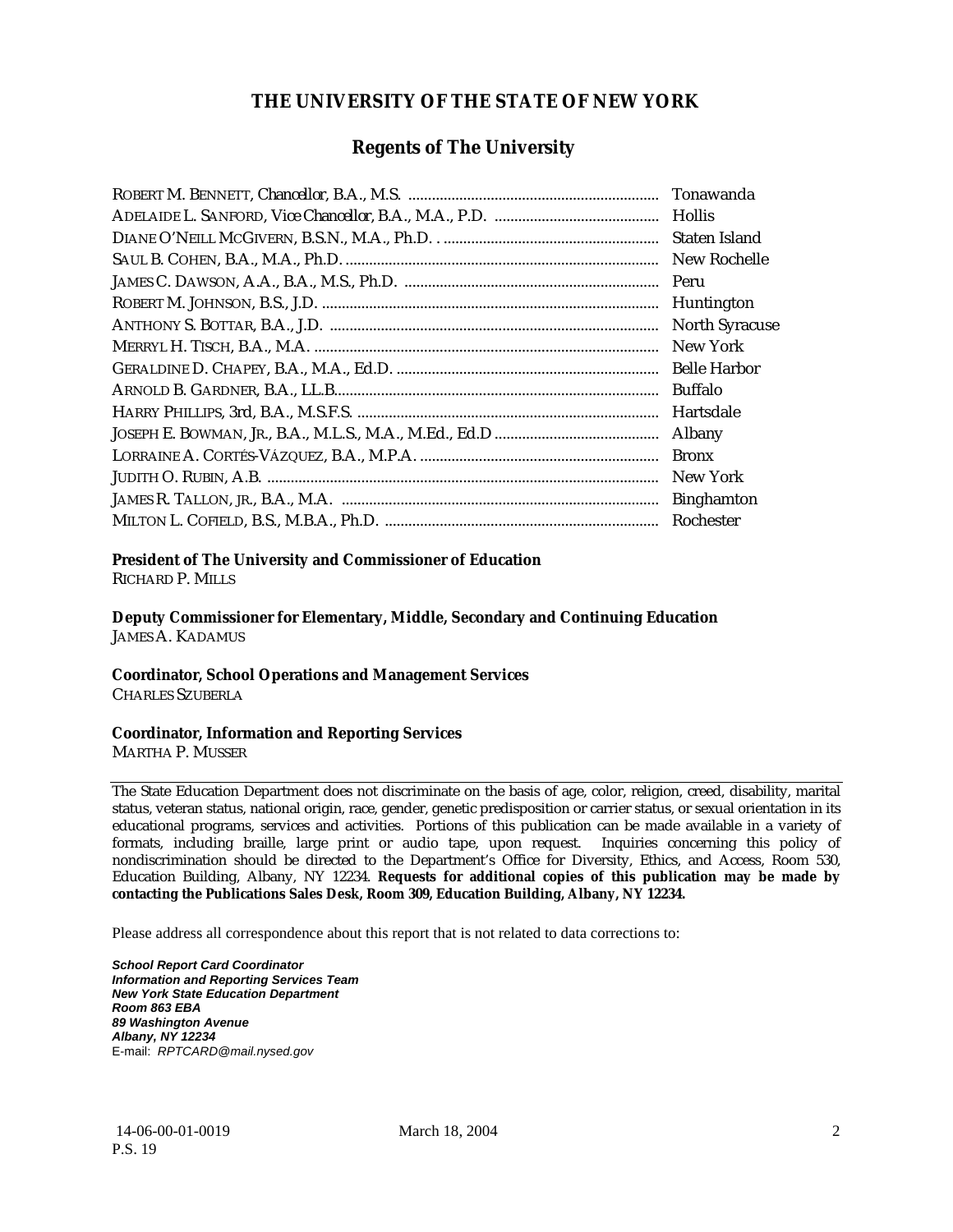### **THE UNIVERSITY OF THE STATE OF NEW YORK**

### **Regents of The University**

| Tonawanda             |
|-----------------------|
| Hollis                |
| Staten Island         |
| New Rochelle          |
| Peru                  |
| Huntington            |
| <b>North Syracuse</b> |
| New York              |
| <b>Belle Harbor</b>   |
| Buffalo               |
| Hartsdale             |
| Albany                |
| <b>Bronx</b>          |
| New York              |
| <b>Binghamton</b>     |
| Rochester             |

#### **President of The University and Commissioner of Education**

RICHARD P. MILLS

**Deputy Commissioner for Elementary, Middle, Secondary and Continuing Education**  JAMES A. KADAMUS

#### **Coordinator, School Operations and Management Services**

CHARLES SZUBERLA

#### **Coordinator, Information and Reporting Services**

MARTHA P. MUSSER

The State Education Department does not discriminate on the basis of age, color, religion, creed, disability, marital status, veteran status, national origin, race, gender, genetic predisposition or carrier status, or sexual orientation in its educational programs, services and activities. Portions of this publication can be made available in a variety of formats, including braille, large print or audio tape, upon request. Inquiries concerning this policy of nondiscrimination should be directed to the Department's Office for Diversity, Ethics, and Access, Room 530, Education Building, Albany, NY 12234. **Requests for additional copies of this publication may be made by contacting the Publications Sales Desk, Room 309, Education Building, Albany, NY 12234.** 

Please address all correspondence about this report that is not related to data corrections to:

*School Report Card Coordinator Information and Reporting Services Team New York State Education Department Room 863 EBA 89 Washington Avenue Albany, NY 12234*  E-mail: *RPTCARD@mail.nysed.gov*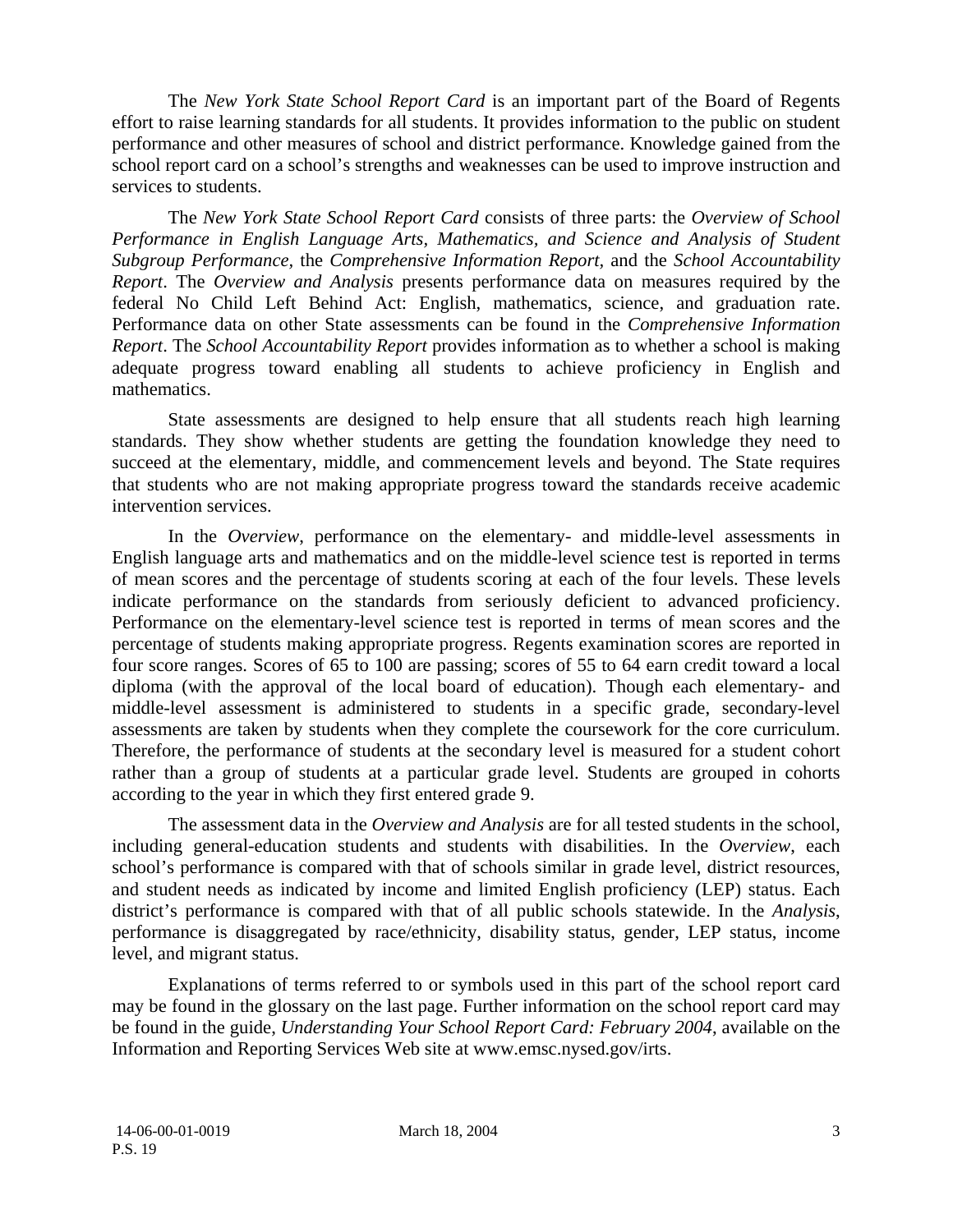The *New York State School Report Card* is an important part of the Board of Regents effort to raise learning standards for all students. It provides information to the public on student performance and other measures of school and district performance. Knowledge gained from the school report card on a school's strengths and weaknesses can be used to improve instruction and services to students.

The *New York State School Report Card* consists of three parts: the *Overview of School Performance in English Language Arts, Mathematics, and Science and Analysis of Student Subgroup Performance,* the *Comprehensive Information Report,* and the *School Accountability Report*. The *Overview and Analysis* presents performance data on measures required by the federal No Child Left Behind Act: English, mathematics, science, and graduation rate. Performance data on other State assessments can be found in the *Comprehensive Information Report*. The *School Accountability Report* provides information as to whether a school is making adequate progress toward enabling all students to achieve proficiency in English and mathematics.

State assessments are designed to help ensure that all students reach high learning standards. They show whether students are getting the foundation knowledge they need to succeed at the elementary, middle, and commencement levels and beyond. The State requires that students who are not making appropriate progress toward the standards receive academic intervention services.

In the *Overview*, performance on the elementary- and middle-level assessments in English language arts and mathematics and on the middle-level science test is reported in terms of mean scores and the percentage of students scoring at each of the four levels. These levels indicate performance on the standards from seriously deficient to advanced proficiency. Performance on the elementary-level science test is reported in terms of mean scores and the percentage of students making appropriate progress. Regents examination scores are reported in four score ranges. Scores of 65 to 100 are passing; scores of 55 to 64 earn credit toward a local diploma (with the approval of the local board of education). Though each elementary- and middle-level assessment is administered to students in a specific grade, secondary-level assessments are taken by students when they complete the coursework for the core curriculum. Therefore, the performance of students at the secondary level is measured for a student cohort rather than a group of students at a particular grade level. Students are grouped in cohorts according to the year in which they first entered grade 9.

The assessment data in the *Overview and Analysis* are for all tested students in the school, including general-education students and students with disabilities. In the *Overview*, each school's performance is compared with that of schools similar in grade level, district resources, and student needs as indicated by income and limited English proficiency (LEP) status. Each district's performance is compared with that of all public schools statewide. In the *Analysis*, performance is disaggregated by race/ethnicity, disability status, gender, LEP status, income level, and migrant status.

Explanations of terms referred to or symbols used in this part of the school report card may be found in the glossary on the last page. Further information on the school report card may be found in the guide, *Understanding Your School Report Card: February 2004*, available on the Information and Reporting Services Web site at www.emsc.nysed.gov/irts.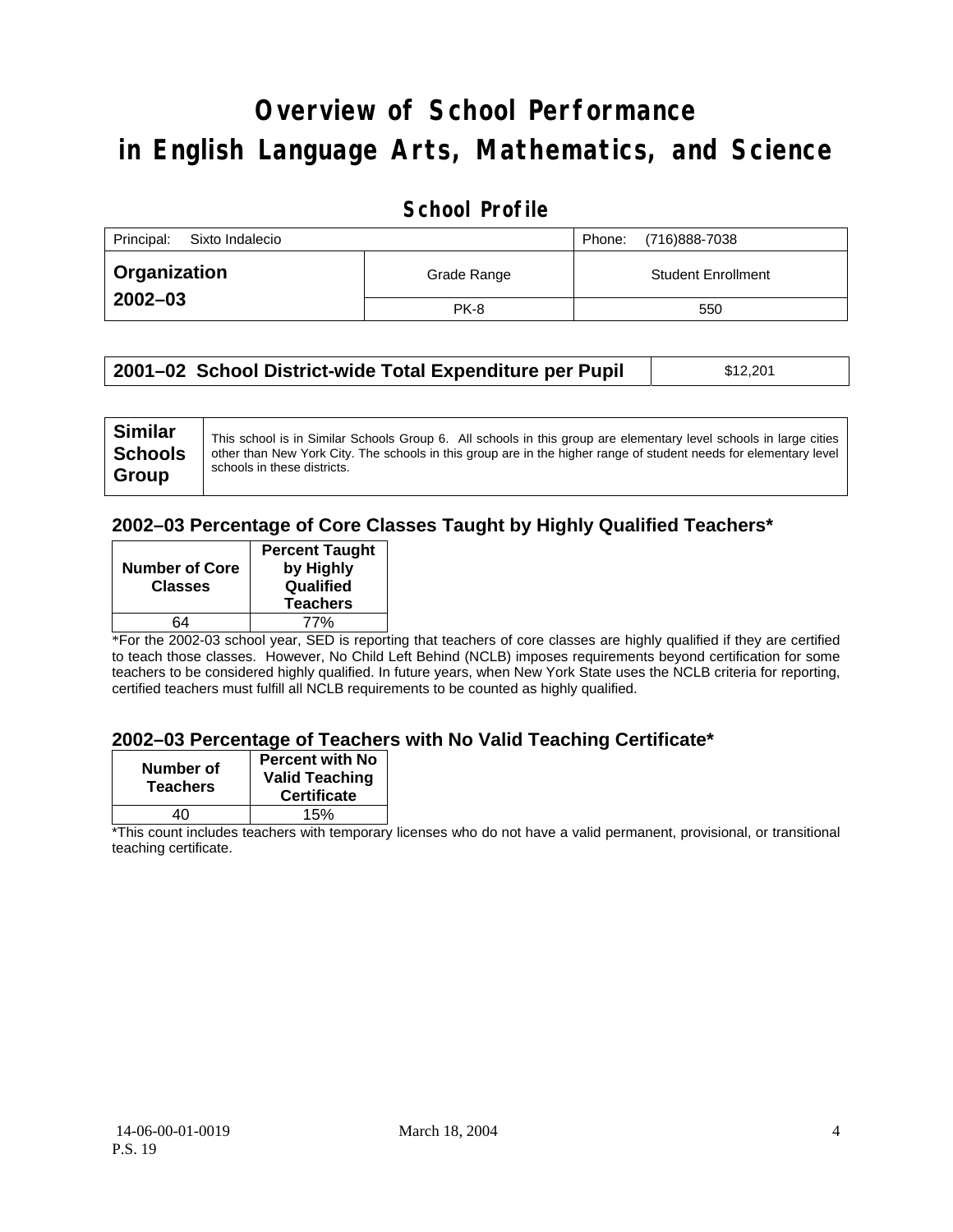# **Overview of School Performance in English Language Arts, Mathematics, and Science**

### **School Profile**

| Principal:<br>Sixto Indalecio |             | (716)888-7038<br>Phone:   |
|-------------------------------|-------------|---------------------------|
| <b>Organization</b>           | Grade Range | <b>Student Enrollment</b> |
| $2002 - 03$                   | <b>PK-8</b> | 550                       |

| 2001–02 School District-wide Total Expenditure per Pupil | \$12,201 |  |
|----------------------------------------------------------|----------|--|
|----------------------------------------------------------|----------|--|

### **2002–03 Percentage of Core Classes Taught by Highly Qualified Teachers\***

| <b>Number of Core</b><br><b>Classes</b> | <b>Percent Taught</b><br>by Highly<br>Qualified<br><b>Teachers</b> |
|-----------------------------------------|--------------------------------------------------------------------|
| 64                                      | 77%                                                                |

\*For the 2002-03 school year, SED is reporting that teachers of core classes are highly qualified if they are certified to teach those classes. However, No Child Left Behind (NCLB) imposes requirements beyond certification for some teachers to be considered highly qualified. In future years, when New York State uses the NCLB criteria for reporting, certified teachers must fulfill all NCLB requirements to be counted as highly qualified.

#### **2002–03 Percentage of Teachers with No Valid Teaching Certificate\***

| Number of<br><b>Teachers</b> | <b>Percent with No</b><br><b>Valid Teaching</b><br><b>Certificate</b> |
|------------------------------|-----------------------------------------------------------------------|
| 40                           | 15%                                                                   |

\*This count includes teachers with temporary licenses who do not have a valid permanent, provisional, or transitional teaching certificate.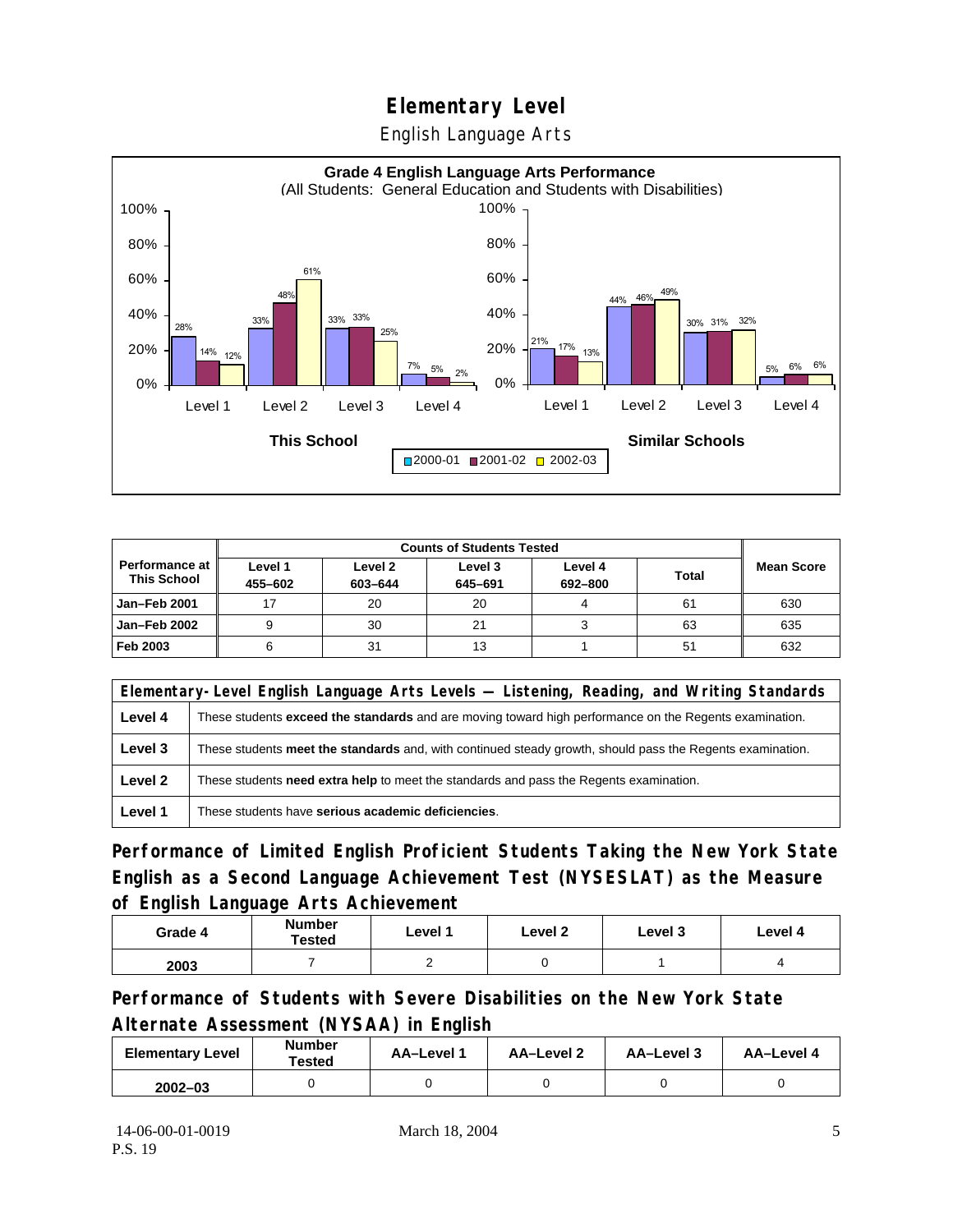English Language Arts



|                                        |                    | <b>Counts of Students Tested</b> |                    |                    |              |                   |
|----------------------------------------|--------------------|----------------------------------|--------------------|--------------------|--------------|-------------------|
| Performance at I<br><b>This School</b> | Level 1<br>455-602 | Level 2<br>603-644               | Level 3<br>645-691 | Level 4<br>692-800 | <b>Total</b> | <b>Mean Score</b> |
| Jan-Feb 2001                           | 17                 | 20                               | 20                 | 4                  | 61           | 630               |
| Jan-Feb 2002                           |                    | 30                               | 21                 |                    | 63           | 635               |
| Feb 2003                               |                    | 31                               | 13                 |                    | 51           | 632               |

|         | Elementary-Level English Language Arts Levels — Listening, Reading, and Writing Standards                 |  |  |  |  |
|---------|-----------------------------------------------------------------------------------------------------------|--|--|--|--|
| Level 4 | These students exceed the standards and are moving toward high performance on the Regents examination.    |  |  |  |  |
| Level 3 | These students meet the standards and, with continued steady growth, should pass the Regents examination. |  |  |  |  |
| Level 2 | These students <b>need extra help</b> to meet the standards and pass the Regents examination.             |  |  |  |  |
| Level 1 | These students have serious academic deficiencies.                                                        |  |  |  |  |

**Performance of Limited English Proficient Students Taking the New York State English as a Second Language Achievement Test (NYSESLAT) as the Measure of English Language Arts Achievement**

| Grade 4 | <b>Number</b><br><b>Tested</b> | Level 1 | Level 2 | Level 3 | Level 4 |
|---------|--------------------------------|---------|---------|---------|---------|
| 2003    |                                |         |         |         |         |

**Performance of Students with Severe Disabilities on the New York State Alternate Assessment (NYSAA) in English** 

| <b>Elementary Level</b> | <b>Number</b><br>Tested | <b>AA-Level 1</b> | AA-Level 2 | AA-Level 3 | AA-Level 4 |
|-------------------------|-------------------------|-------------------|------------|------------|------------|
| $2002 - 03$             |                         |                   |            |            |            |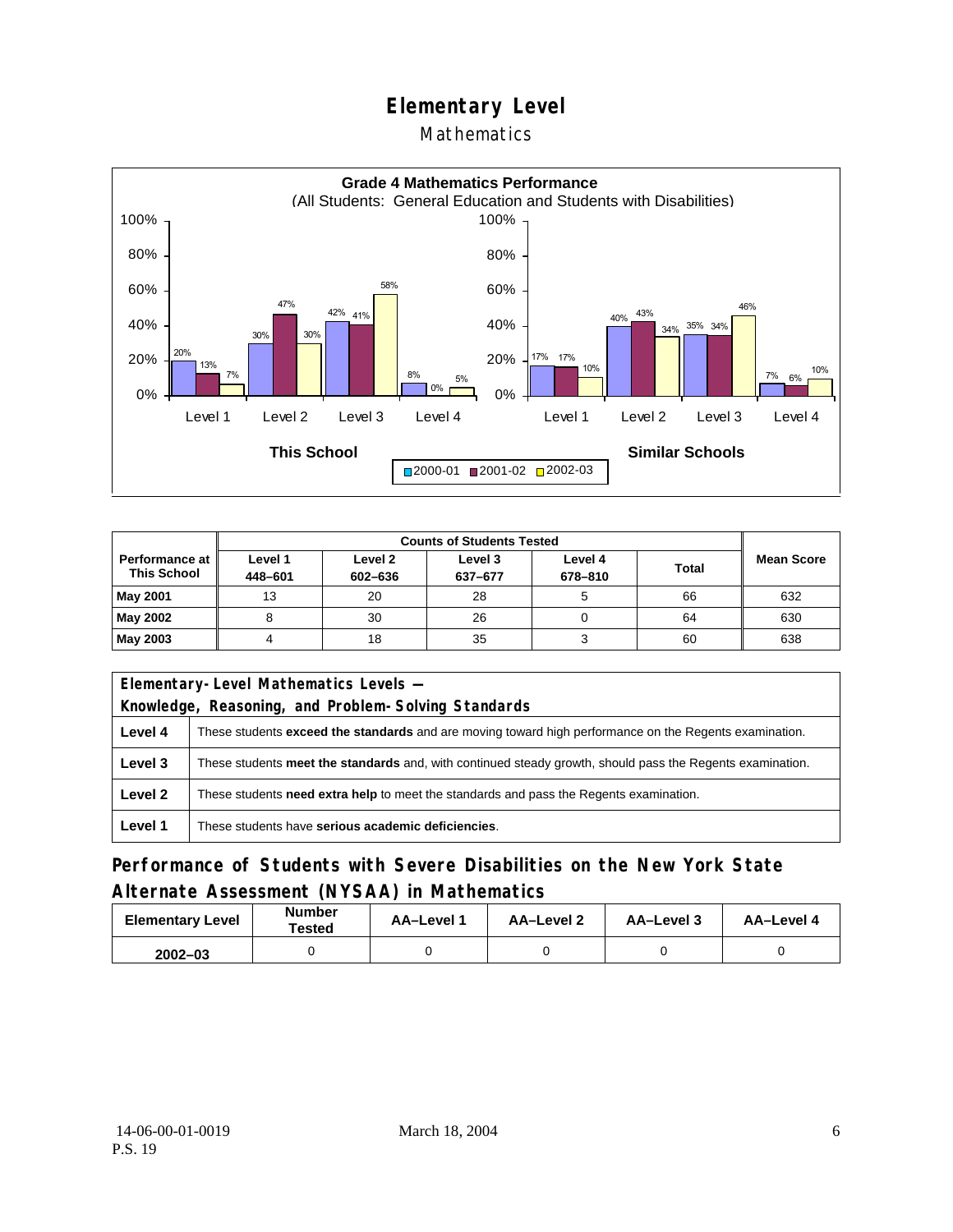### **Mathematics**



|                                             | <b>Counts of Students Tested</b> |                    |                    |                    |       |                   |
|---------------------------------------------|----------------------------------|--------------------|--------------------|--------------------|-------|-------------------|
| <b>Performance at</b><br><b>This School</b> | Level 1<br>448-601               | Level 2<br>602-636 | Level 3<br>637-677 | Level 4<br>678-810 | Total | <b>Mean Score</b> |
| <b>May 2001</b>                             | 13                               | 20                 | 28                 |                    | 66    | 632               |
| May 2002                                    |                                  | 30                 | 26                 |                    | 64    | 630               |
| May 2003                                    |                                  | 18                 | 35                 |                    | 60    | 638               |

|                                                                                                   | Elementary-Level Mathematics Levels -                                                                         |  |  |  |  |
|---------------------------------------------------------------------------------------------------|---------------------------------------------------------------------------------------------------------------|--|--|--|--|
|                                                                                                   | Knowledge, Reasoning, and Problem-Solving Standards                                                           |  |  |  |  |
| Level 4                                                                                           | These students <b>exceed the standards</b> and are moving toward high performance on the Regents examination. |  |  |  |  |
| Level 3                                                                                           | These students meet the standards and, with continued steady growth, should pass the Regents examination.     |  |  |  |  |
| Level 2<br>These students need extra help to meet the standards and pass the Regents examination. |                                                                                                               |  |  |  |  |
| Level 1                                                                                           | These students have serious academic deficiencies.                                                            |  |  |  |  |

### **Performance of Students with Severe Disabilities on the New York State Alternate Assessment (NYSAA) in Mathematics**

| <b>Elementary Level</b> | <b>Number</b><br>Tested | <b>AA-Level 1</b> | AA-Level 2 | AA-Level 3 | AA-Level 4 |
|-------------------------|-------------------------|-------------------|------------|------------|------------|
| $2002 - 03$             |                         |                   |            |            |            |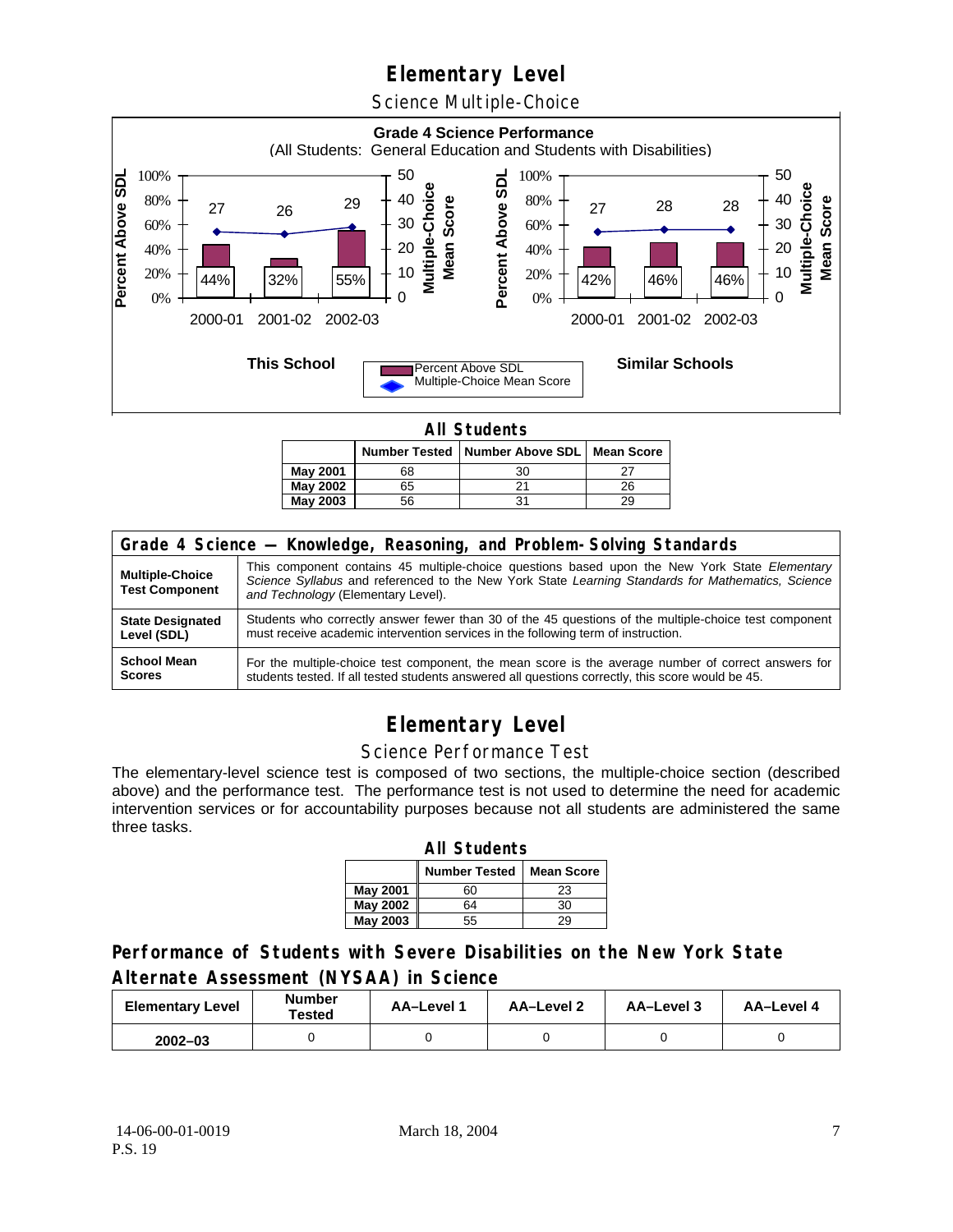Science Multiple-Choice



**All Students** 

|          |    | Number Tested   Number Above SDL   Mean Score |    |  |  |  |
|----------|----|-----------------------------------------------|----|--|--|--|
| May 2001 | 68 | 30                                            |    |  |  |  |
| May 2002 | 65 |                                               | 26 |  |  |  |
| May 2003 | 56 | 31                                            | 29 |  |  |  |

| Grade 4 Science - Knowledge, Reasoning, and Problem-Solving Standards |                                                                                                                                                                                                                                          |  |  |  |  |
|-----------------------------------------------------------------------|------------------------------------------------------------------------------------------------------------------------------------------------------------------------------------------------------------------------------------------|--|--|--|--|
| <b>Multiple-Choice</b><br><b>Test Component</b>                       | This component contains 45 multiple-choice questions based upon the New York State Elementary<br>Science Syllabus and referenced to the New York State Learning Standards for Mathematics, Science<br>and Technology (Elementary Level). |  |  |  |  |
| <b>State Designated</b>                                               | Students who correctly answer fewer than 30 of the 45 questions of the multiple-choice test component                                                                                                                                    |  |  |  |  |
| Level (SDL)                                                           | must receive academic intervention services in the following term of instruction.                                                                                                                                                        |  |  |  |  |
| <b>School Mean</b>                                                    | For the multiple-choice test component, the mean score is the average number of correct answers for                                                                                                                                      |  |  |  |  |
| <b>Scores</b>                                                         | students tested. If all tested students answered all questions correctly, this score would be 45.                                                                                                                                        |  |  |  |  |

# **Elementary Level**

#### Science Performance Test

The elementary-level science test is composed of two sections, the multiple-choice section (described above) and the performance test. The performance test is not used to determine the need for academic intervention services or for accountability purposes because not all students are administered the same three tasks.

| <b>All Students</b>                       |    |    |  |  |  |  |
|-------------------------------------------|----|----|--|--|--|--|
| <b>Number Tested</b><br><b>Mean Score</b> |    |    |  |  |  |  |
| May 2001                                  | 60 | 23 |  |  |  |  |
| <b>May 2002</b>                           | 64 | 30 |  |  |  |  |
| <b>May 2003</b>                           | 55 | 29 |  |  |  |  |

### **Performance of Students with Severe Disabilities on the New York State Alternate Assessment (NYSAA) in Science**

| <b>Elementary Level</b> | <b>Number</b><br>Tested | AA-Level 1 | <b>AA-Level 2</b> | AA-Level 3 | AA-Level 4 |
|-------------------------|-------------------------|------------|-------------------|------------|------------|
| $2002 - 03$             |                         |            |                   |            |            |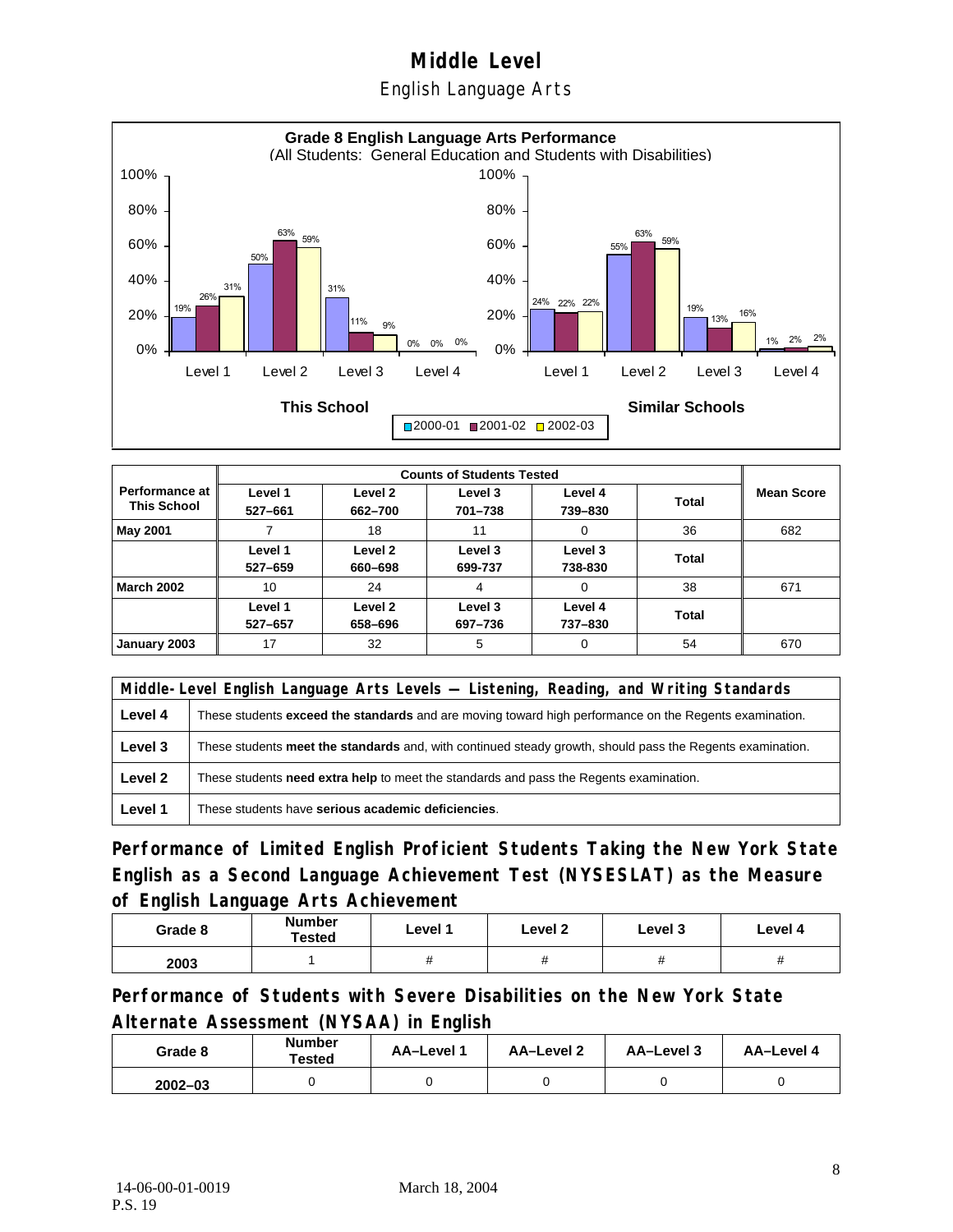English Language Arts



|                                      |                    | <b>Counts of Students Tested</b> |                    |                    |              |                   |  |
|--------------------------------------|--------------------|----------------------------------|--------------------|--------------------|--------------|-------------------|--|
| Performance at<br><b>This School</b> | Level 1<br>527-661 | Level 2<br>662-700               | Level 3<br>701-738 | Level 4<br>739-830 | <b>Total</b> | <b>Mean Score</b> |  |
| May 2001                             |                    | 18                               | 11                 | 0                  | 36           | 682               |  |
|                                      | Level 1<br>527-659 | Level 2<br>660-698               | Level 3<br>699-737 | Level 3<br>738-830 | Total        |                   |  |
| <b>March 2002</b>                    | 10                 | 24                               | 4                  | 0                  | 38           | 671               |  |
|                                      | Level 1<br>527-657 | Level 2<br>658-696               | Level 3<br>697-736 | Level 4<br>737-830 | Total        |                   |  |
| January 2003                         | 17                 | 32                               | 5                  | 0                  | 54           | 670               |  |

|         | Middle-Level English Language Arts Levels - Listening, Reading, and Writing Standards                         |  |  |  |  |
|---------|---------------------------------------------------------------------------------------------------------------|--|--|--|--|
| Level 4 | These students <b>exceed the standards</b> and are moving toward high performance on the Regents examination. |  |  |  |  |
| Level 3 | These students meet the standards and, with continued steady growth, should pass the Regents examination.     |  |  |  |  |
| Level 2 | These students need extra help to meet the standards and pass the Regents examination.                        |  |  |  |  |
| Level 1 | These students have serious academic deficiencies.                                                            |  |  |  |  |

**Performance of Limited English Proficient Students Taking the New York State English as a Second Language Achievement Test (NYSESLAT) as the Measure of English Language Arts Achievement**

| Grade 8 | <b>Number</b><br>Tested | Level 1 | Level 2 | Level 3 | Level 4 |
|---------|-------------------------|---------|---------|---------|---------|
| 2003    |                         |         |         | π       | п       |

**Performance of Students with Severe Disabilities on the New York State Alternate Assessment (NYSAA) in English** 

| Grade 8     | Number<br>Tested | AA-Level 1 | AA-Level 2 | AA-Level 3 | AA-Level 4 |
|-------------|------------------|------------|------------|------------|------------|
| $2002 - 03$ |                  |            |            |            |            |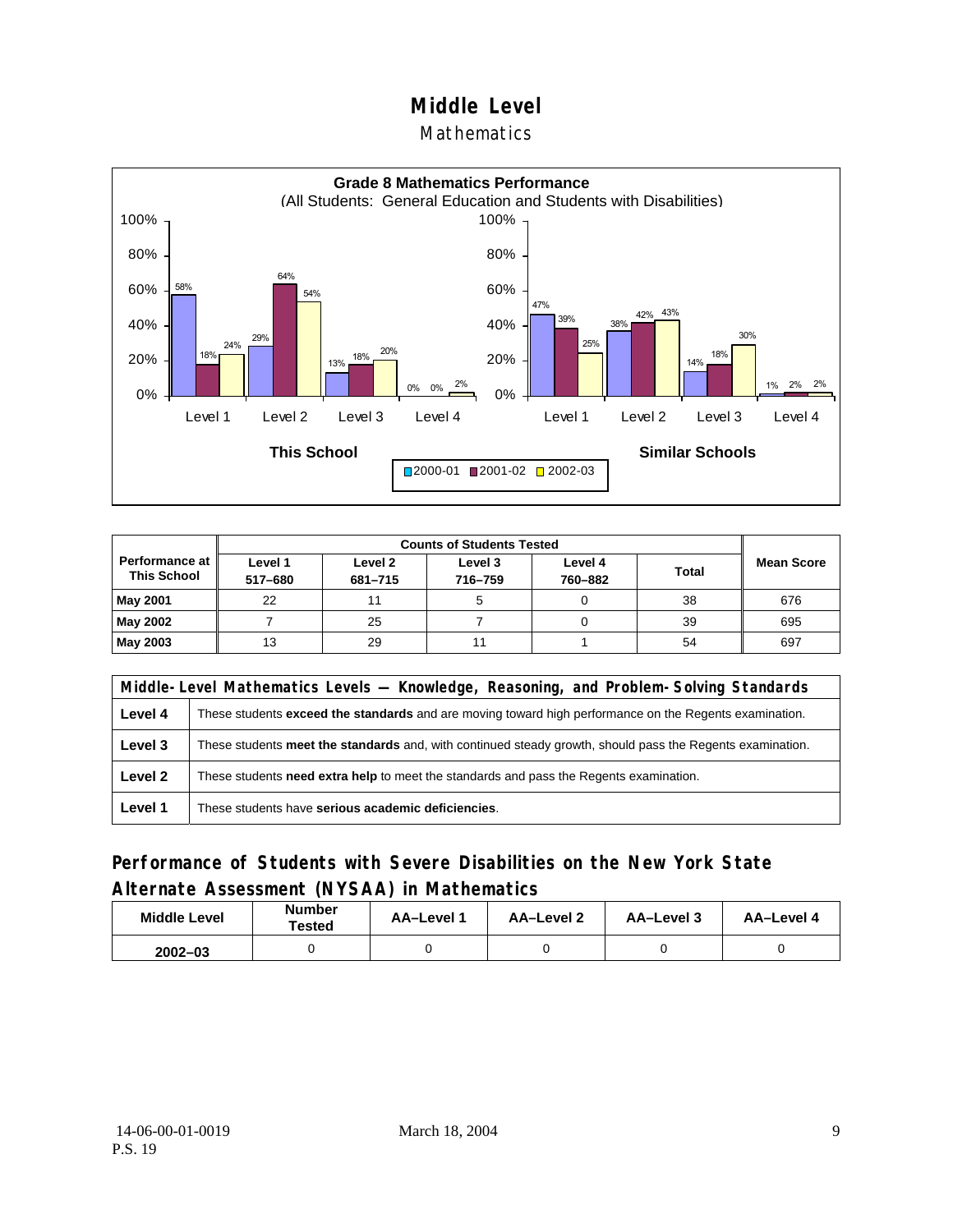#### **Mathematics**



| <b>Counts of Students Tested</b>     |                    |                    |                    |                    |              |                   |
|--------------------------------------|--------------------|--------------------|--------------------|--------------------|--------------|-------------------|
| Performance at<br><b>This School</b> | Level 1<br>517-680 | Level 2<br>681-715 | Level 3<br>716-759 | Level 4<br>760-882 | <b>Total</b> | <b>Mean Score</b> |
| May 2001                             | 22                 |                    |                    |                    | 38           | 676               |
| May 2002                             |                    | 25                 |                    |                    | 39           | 695               |
| May 2003                             | 13                 | 29                 |                    |                    | 54           | 697               |

|         | Middle-Level Mathematics Levels — Knowledge, Reasoning, and Problem-Solving Standards                         |  |  |  |  |
|---------|---------------------------------------------------------------------------------------------------------------|--|--|--|--|
| Level 4 | These students <b>exceed the standards</b> and are moving toward high performance on the Regents examination. |  |  |  |  |
| Level 3 | These students meet the standards and, with continued steady growth, should pass the Regents examination.     |  |  |  |  |
| Level 2 | These students <b>need extra help</b> to meet the standards and pass the Regents examination.                 |  |  |  |  |
| Level 1 | These students have serious academic deficiencies.                                                            |  |  |  |  |

### **Performance of Students with Severe Disabilities on the New York State Alternate Assessment (NYSAA) in Mathematics**

| <b>Middle Level</b> | <b>Number</b><br>⊺ested | AA-Level 1 | AA-Level 2 | AA-Level 3 | AA-Level 4 |
|---------------------|-------------------------|------------|------------|------------|------------|
| $2002 - 03$         |                         |            |            |            |            |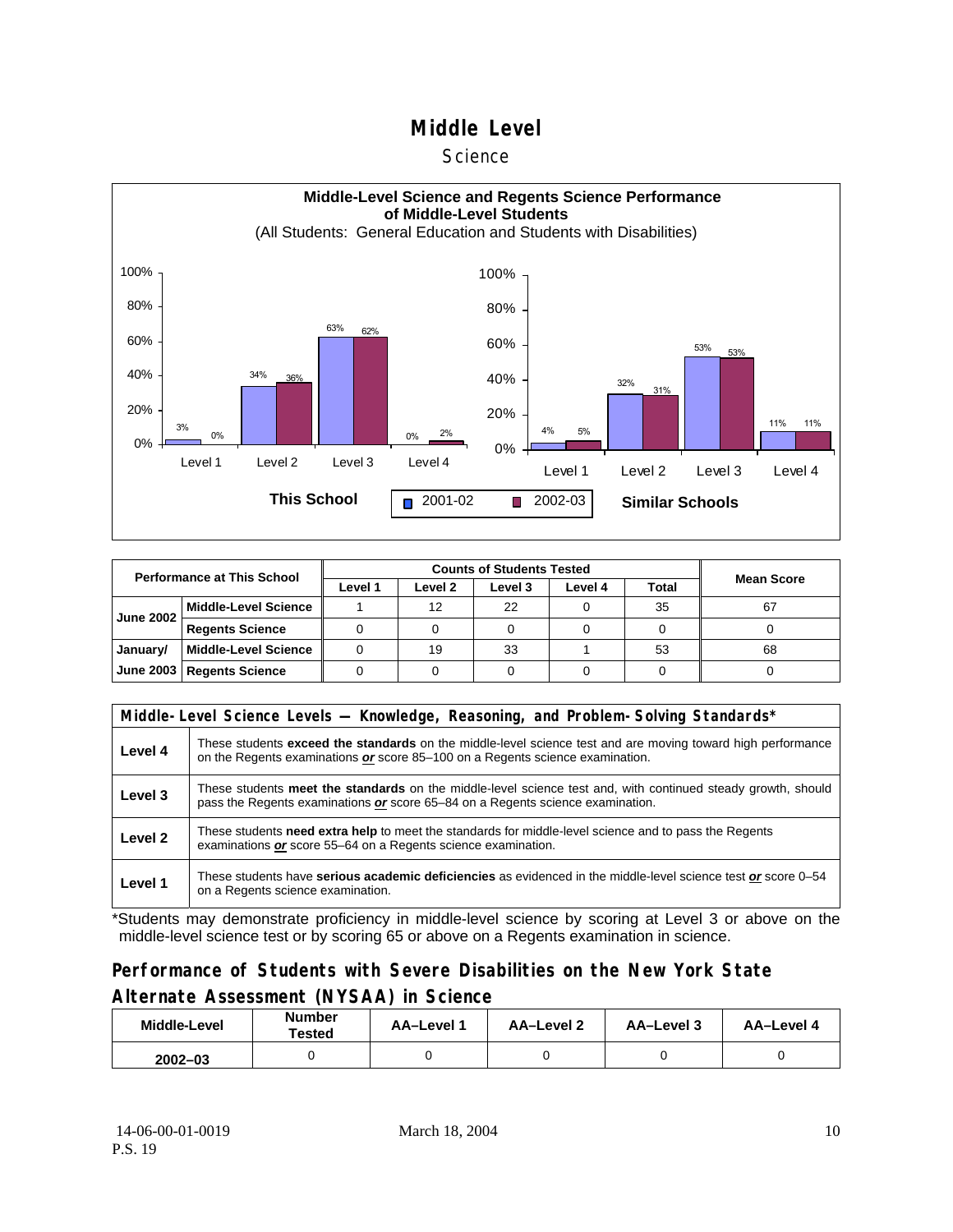#### **Science**



| <b>Performance at This School</b> |                             |         | <b>Mean Score</b> |         |         |       |    |
|-----------------------------------|-----------------------------|---------|-------------------|---------|---------|-------|----|
|                                   |                             | Level 1 | Level 2           | Level 3 | Level 4 | Total |    |
| <b>June 2002</b>                  | <b>Middle-Level Science</b> |         | 12                | 22      |         | 35    | 67 |
|                                   | <b>Regents Science</b>      |         |                   |         |         |       |    |
| January/                          | <b>Middle-Level Science</b> |         | 19                | 33      |         | 53    | 68 |
|                                   | June 2003   Regents Science |         |                   |         |         |       |    |

|         | Middle-Level Science Levels — Knowledge, Reasoning, and Problem-Solving Standards*                                                                                                                  |  |  |  |  |  |  |  |
|---------|-----------------------------------------------------------------------------------------------------------------------------------------------------------------------------------------------------|--|--|--|--|--|--|--|
| Level 4 | These students <b>exceed the standards</b> on the middle-level science test and are moving toward high performance<br>on the Regents examinations or score 85–100 on a Regents science examination. |  |  |  |  |  |  |  |
| Level 3 | These students meet the standards on the middle-level science test and, with continued steady growth, should<br>pass the Regents examinations or score 65–84 on a Regents science examination.      |  |  |  |  |  |  |  |
| Level 2 | These students need extra help to meet the standards for middle-level science and to pass the Regents<br>examinations or score 55–64 on a Regents science examination.                              |  |  |  |  |  |  |  |
| Level 1 | These students have serious academic deficiencies as evidenced in the middle-level science test or score 0–54<br>on a Regents science examination.                                                  |  |  |  |  |  |  |  |

\*Students may demonstrate proficiency in middle-level science by scoring at Level 3 or above on the middle-level science test or by scoring 65 or above on a Regents examination in science.

### **Performance of Students with Severe Disabilities on the New York State Alternate Assessment (NYSAA) in Science**

| <b>Number</b><br>Middle-Level<br>Tested |  | <b>AA-Level 1</b> | AA-Level 2 | AA-Level 3 | AA-Level 4 |  |
|-----------------------------------------|--|-------------------|------------|------------|------------|--|
| $2002 - 03$                             |  |                   |            |            |            |  |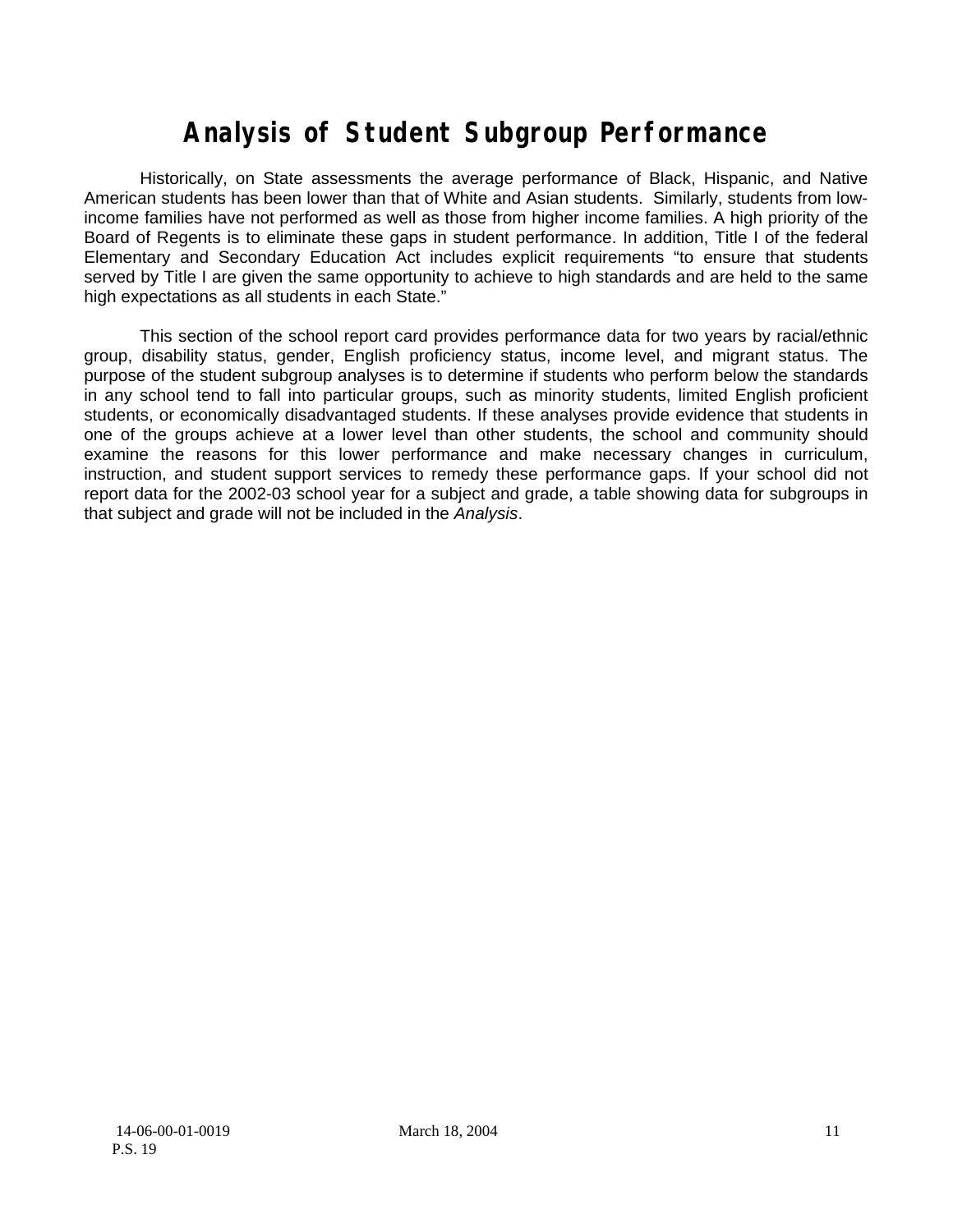# **Analysis of Student Subgroup Performance**

Historically, on State assessments the average performance of Black, Hispanic, and Native American students has been lower than that of White and Asian students. Similarly, students from lowincome families have not performed as well as those from higher income families. A high priority of the Board of Regents is to eliminate these gaps in student performance. In addition, Title I of the federal Elementary and Secondary Education Act includes explicit requirements "to ensure that students served by Title I are given the same opportunity to achieve to high standards and are held to the same high expectations as all students in each State."

This section of the school report card provides performance data for two years by racial/ethnic group, disability status, gender, English proficiency status, income level, and migrant status. The purpose of the student subgroup analyses is to determine if students who perform below the standards in any school tend to fall into particular groups, such as minority students, limited English proficient students, or economically disadvantaged students. If these analyses provide evidence that students in one of the groups achieve at a lower level than other students, the school and community should examine the reasons for this lower performance and make necessary changes in curriculum, instruction, and student support services to remedy these performance gaps. If your school did not report data for the 2002-03 school year for a subject and grade, a table showing data for subgroups in that subject and grade will not be included in the *Analysis*.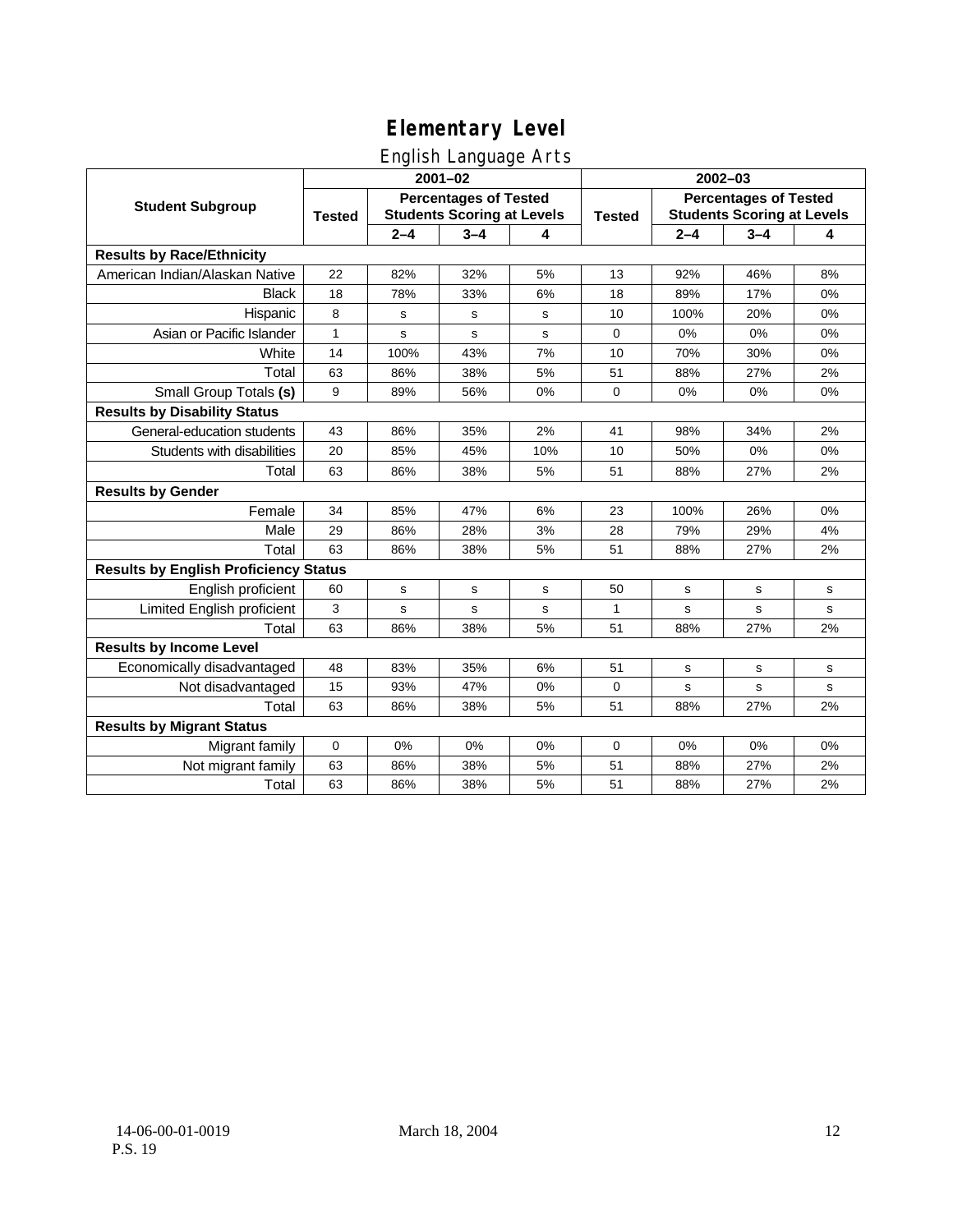### English Language Arts

|                                              |               |                                                                   | ◡<br>$2001 - 02$ |     | $2002 - 03$   |                                                                   |                                                                                                                                                                    |             |  |
|----------------------------------------------|---------------|-------------------------------------------------------------------|------------------|-----|---------------|-------------------------------------------------------------------|--------------------------------------------------------------------------------------------------------------------------------------------------------------------|-------------|--|
| <b>Student Subgroup</b>                      | <b>Tested</b> | <b>Percentages of Tested</b><br><b>Students Scoring at Levels</b> |                  |     | <b>Tested</b> | <b>Percentages of Tested</b><br><b>Students Scoring at Levels</b> |                                                                                                                                                                    |             |  |
|                                              |               | $2 - 4$                                                           | $3 - 4$          | 4   |               | $2 - 4$                                                           | $3 - 4$<br>46%<br>17%<br>20%<br>0%<br>30%<br>27%<br>0%<br>34%<br>0%<br>27%<br>26%<br>29%<br>27%<br>$\mathbf s$<br>s<br>27%<br>s<br>$\mathbf s$<br>27%<br>0%<br>27% | 4           |  |
| <b>Results by Race/Ethnicity</b>             |               |                                                                   |                  |     |               |                                                                   |                                                                                                                                                                    |             |  |
| American Indian/Alaskan Native               | 22            | 82%                                                               | 32%              | 5%  | 13            | 92%                                                               |                                                                                                                                                                    | 8%          |  |
| <b>Black</b>                                 | 18            | 78%                                                               | 33%              | 6%  | 18            | 89%                                                               |                                                                                                                                                                    | 0%          |  |
| Hispanic                                     | 8             | s                                                                 | s                | s   | 10            | 100%                                                              |                                                                                                                                                                    | 0%          |  |
| Asian or Pacific Islander                    | 1             | s                                                                 | $\mathsf{s}$     | s   | 0             | 0%                                                                |                                                                                                                                                                    | 0%          |  |
| White                                        | 14            | 100%                                                              | 43%              | 7%  | 10            | 70%                                                               |                                                                                                                                                                    | 0%          |  |
| Total                                        | 63            | 86%                                                               | 38%              | 5%  | 51            | 88%                                                               |                                                                                                                                                                    | 2%          |  |
| Small Group Totals (s)                       | 9             | 89%                                                               | 56%              | 0%  | 0             | 0%                                                                |                                                                                                                                                                    | 0%          |  |
| <b>Results by Disability Status</b>          |               |                                                                   |                  |     |               |                                                                   |                                                                                                                                                                    |             |  |
| General-education students                   | 43            | 86%                                                               | 35%              | 2%  | 41            | 98%                                                               |                                                                                                                                                                    | 2%          |  |
| Students with disabilities                   | 20            | 85%                                                               | 45%              | 10% | 10            | 50%                                                               |                                                                                                                                                                    | 0%          |  |
| Total                                        | 63            | 86%                                                               | 38%              | 5%  | 51            | 88%                                                               |                                                                                                                                                                    | 2%          |  |
| <b>Results by Gender</b>                     |               |                                                                   |                  |     |               |                                                                   |                                                                                                                                                                    |             |  |
| Female                                       | 34            | 85%                                                               | 47%              | 6%  | 23            | 100%                                                              |                                                                                                                                                                    | 0%          |  |
| Male                                         | 29            | 86%                                                               | 28%              | 3%  | 28            | 79%                                                               |                                                                                                                                                                    | 4%          |  |
| Total                                        | 63            | 86%                                                               | 38%              | 5%  | 51            | 88%                                                               |                                                                                                                                                                    | 2%          |  |
| <b>Results by English Proficiency Status</b> |               |                                                                   |                  |     |               |                                                                   |                                                                                                                                                                    |             |  |
| English proficient                           | 60            | $\mathbf s$                                                       | $\mathbf s$      | s   | 50            | s                                                                 |                                                                                                                                                                    | ${\tt s}$   |  |
| Limited English proficient                   | 3             | s                                                                 | s                | s   | 1             | s                                                                 |                                                                                                                                                                    | s           |  |
| Total                                        | 63            | 86%                                                               | 38%              | 5%  | 51            | 88%                                                               |                                                                                                                                                                    | 2%          |  |
| <b>Results by Income Level</b>               |               |                                                                   |                  |     |               |                                                                   |                                                                                                                                                                    |             |  |
| Economically disadvantaged                   | 48            | 83%                                                               | 35%              | 6%  | 51            | s                                                                 |                                                                                                                                                                    | $\mathbf s$ |  |
| Not disadvantaged                            | 15            | 93%                                                               | 47%              | 0%  | 0             | s                                                                 |                                                                                                                                                                    | $\mathbf s$ |  |
| Total                                        | 63            | 86%                                                               | 38%              | 5%  | 51            | 88%                                                               |                                                                                                                                                                    | 2%          |  |
| <b>Results by Migrant Status</b>             |               |                                                                   |                  |     |               |                                                                   |                                                                                                                                                                    |             |  |
| Migrant family                               | 0             | 0%                                                                | 0%               | 0%  | $\mathbf 0$   | 0%                                                                |                                                                                                                                                                    | 0%          |  |
| Not migrant family                           | 63            | 86%                                                               | 38%              | 5%  | 51            | 88%                                                               |                                                                                                                                                                    | 2%          |  |
| Total                                        | 63            | 86%                                                               | 38%              | 5%  | 51            | 88%                                                               | 27%                                                                                                                                                                | 2%          |  |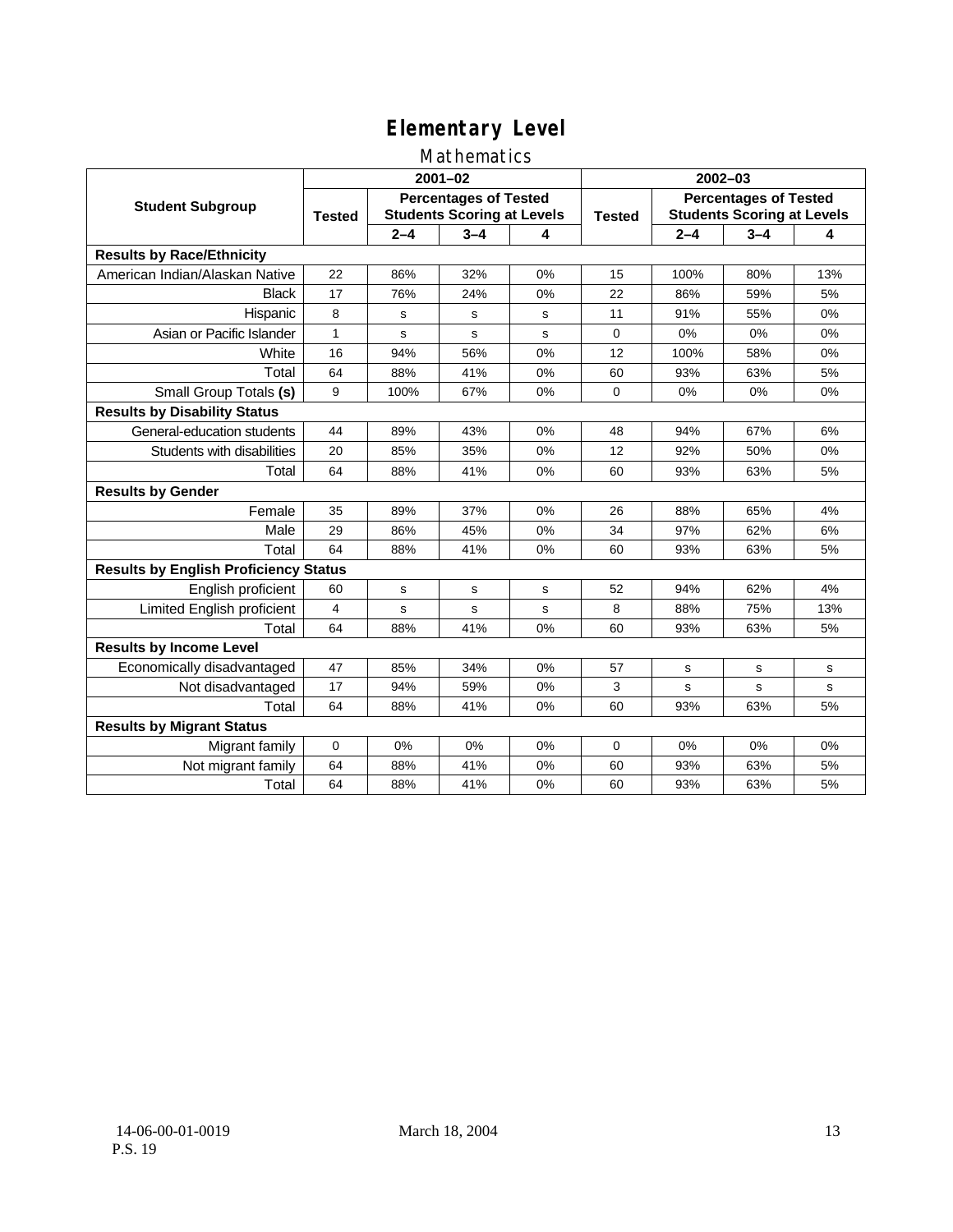### Mathematics

|                                              |               |                                                                   | $2001 - 02$ |       | $2002 - 03$   |                                                                   |                                                                                                                                                            |     |  |
|----------------------------------------------|---------------|-------------------------------------------------------------------|-------------|-------|---------------|-------------------------------------------------------------------|------------------------------------------------------------------------------------------------------------------------------------------------------------|-----|--|
| <b>Student Subgroup</b>                      | <b>Tested</b> | <b>Percentages of Tested</b><br><b>Students Scoring at Levels</b> |             |       | <b>Tested</b> | <b>Percentages of Tested</b><br><b>Students Scoring at Levels</b> |                                                                                                                                                            |     |  |
|                                              |               | $2 - 4$                                                           | $3 - 4$     | 4     |               | $2 - 4$                                                           | $3 - 4$<br>80%<br>59%<br>55%<br>0%<br>58%<br>63%<br>0%<br>67%<br>50%<br>63%<br>65%<br>62%<br>63%<br>62%<br>75%<br>63%<br>s<br>s<br>63%<br>0%<br>63%<br>63% | 4   |  |
| <b>Results by Race/Ethnicity</b>             |               |                                                                   |             |       |               |                                                                   |                                                                                                                                                            |     |  |
| American Indian/Alaskan Native               | 22            | 86%                                                               | 32%         | 0%    | 15            | 100%                                                              |                                                                                                                                                            | 13% |  |
| <b>Black</b>                                 | 17            | 76%                                                               | 24%         | 0%    | 22            | 86%                                                               |                                                                                                                                                            | 5%  |  |
| Hispanic                                     | 8             | s                                                                 | s           | S     | 11            | 91%                                                               |                                                                                                                                                            | 0%  |  |
| Asian or Pacific Islander                    | 1             | s                                                                 | s           | s     | 0             | 0%                                                                |                                                                                                                                                            | 0%  |  |
| White                                        | 16            | 94%                                                               | 56%         | 0%    | 12            | 100%                                                              |                                                                                                                                                            | 0%  |  |
| Total                                        | 64            | 88%                                                               | 41%         | 0%    | 60            | 93%                                                               |                                                                                                                                                            | 5%  |  |
| Small Group Totals (s)                       | 9             | 100%                                                              | 67%         | 0%    | $\Omega$      | 0%                                                                |                                                                                                                                                            | 0%  |  |
| <b>Results by Disability Status</b>          |               |                                                                   |             |       |               |                                                                   |                                                                                                                                                            |     |  |
| General-education students                   | 44            | 89%                                                               | 43%         | 0%    | 48            | 94%                                                               |                                                                                                                                                            | 6%  |  |
| Students with disabilities                   | 20            | 85%                                                               | 35%         | 0%    | 12            | 92%                                                               |                                                                                                                                                            | 0%  |  |
| Total                                        | 64            | 88%                                                               | 41%         | 0%    | 60            | 93%                                                               |                                                                                                                                                            | 5%  |  |
| <b>Results by Gender</b>                     |               |                                                                   |             |       |               |                                                                   |                                                                                                                                                            |     |  |
| Female                                       | 35            | 89%                                                               | 37%         | 0%    | 26            | 88%                                                               |                                                                                                                                                            | 4%  |  |
| Male                                         | 29            | 86%                                                               | 45%         | 0%    | 34            | 97%                                                               |                                                                                                                                                            | 6%  |  |
| Total                                        | 64            | 88%                                                               | 41%         | $0\%$ | 60            | 93%                                                               |                                                                                                                                                            | 5%  |  |
| <b>Results by English Proficiency Status</b> |               |                                                                   |             |       |               |                                                                   |                                                                                                                                                            |     |  |
| English proficient                           | 60            | s                                                                 | s           | s     | 52            | 94%                                                               |                                                                                                                                                            | 4%  |  |
| Limited English proficient                   | 4             | s                                                                 | s           | s     | 8             | 88%                                                               |                                                                                                                                                            | 13% |  |
| Total                                        | 64            | 88%                                                               | 41%         | 0%    | 60            | 93%                                                               |                                                                                                                                                            | 5%  |  |
| <b>Results by Income Level</b>               |               |                                                                   |             |       |               |                                                                   |                                                                                                                                                            |     |  |
| Economically disadvantaged                   | 47            | 85%                                                               | 34%         | 0%    | 57            | s                                                                 |                                                                                                                                                            | s   |  |
| Not disadvantaged                            | 17            | 94%                                                               | 59%         | 0%    | 3             | s                                                                 |                                                                                                                                                            | s   |  |
| Total                                        | 64            | 88%                                                               | 41%         | 0%    | 60            | 93%                                                               |                                                                                                                                                            | 5%  |  |
| <b>Results by Migrant Status</b>             |               |                                                                   |             |       |               |                                                                   |                                                                                                                                                            |     |  |
| Migrant family                               | $\mathbf 0$   | 0%                                                                | 0%          | 0%    | 0             | 0%                                                                |                                                                                                                                                            | 0%  |  |
| Not migrant family                           | 64            | 88%                                                               | 41%         | 0%    | 60            | 93%                                                               |                                                                                                                                                            | 5%  |  |
| Total                                        | 64            | 88%                                                               | 41%         | 0%    | 60            | 93%                                                               |                                                                                                                                                            | 5%  |  |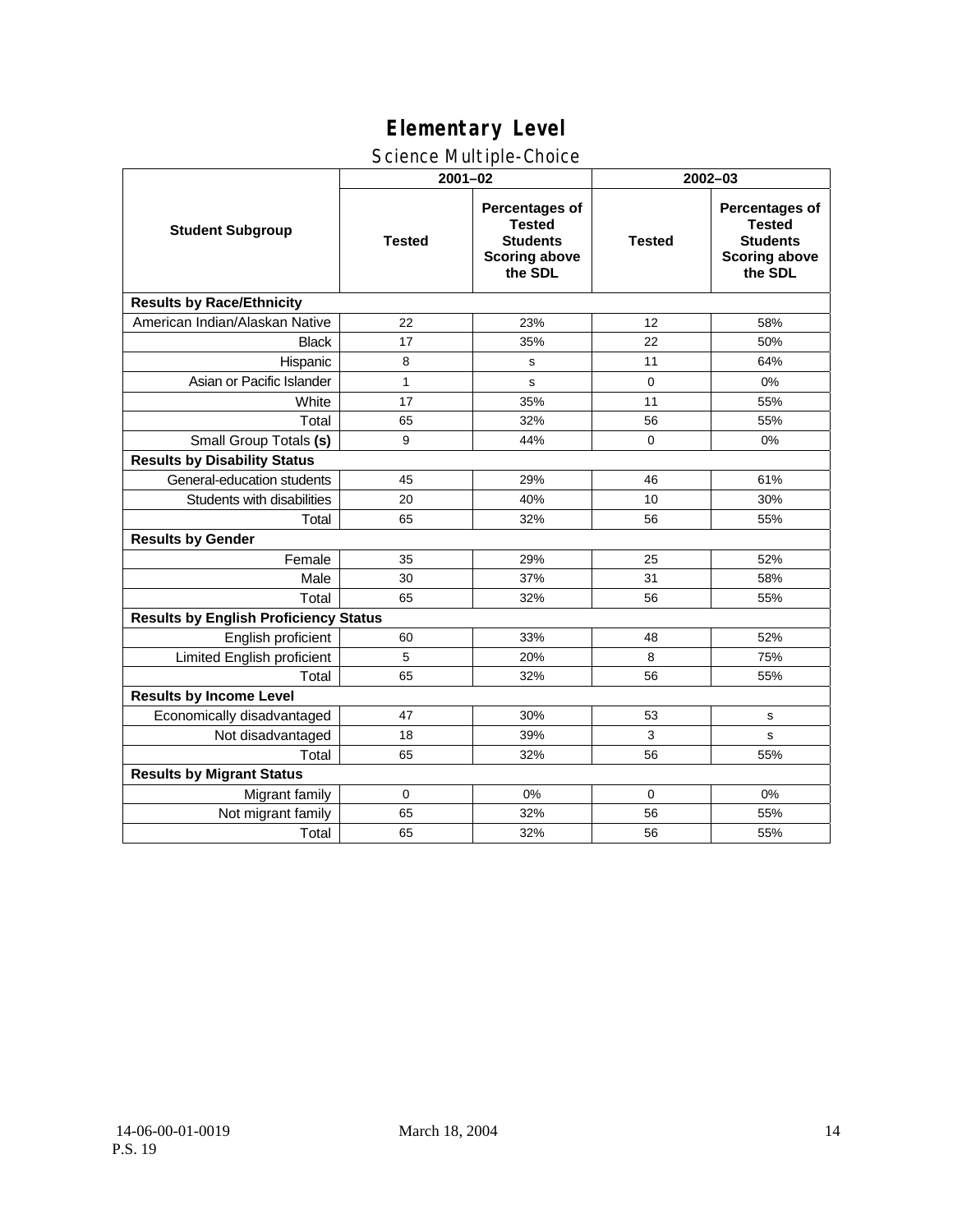### Science Multiple-Choice

|                                              | $2001 - 02$   |                                                                                              | $2002 - 03$   |                                                                                              |  |  |
|----------------------------------------------|---------------|----------------------------------------------------------------------------------------------|---------------|----------------------------------------------------------------------------------------------|--|--|
| <b>Student Subgroup</b>                      | <b>Tested</b> | <b>Percentages of</b><br><b>Tested</b><br><b>Students</b><br><b>Scoring above</b><br>the SDL | <b>Tested</b> | <b>Percentages of</b><br><b>Tested</b><br><b>Students</b><br><b>Scoring above</b><br>the SDL |  |  |
| <b>Results by Race/Ethnicity</b>             |               |                                                                                              |               |                                                                                              |  |  |
| American Indian/Alaskan Native               | 22            | 23%                                                                                          | 12            | 58%                                                                                          |  |  |
| <b>Black</b>                                 | 17            | 35%                                                                                          | 22            | 50%                                                                                          |  |  |
| Hispanic                                     | 8             | s                                                                                            | 11            | 64%                                                                                          |  |  |
| Asian or Pacific Islander                    | $\mathbf{1}$  | s                                                                                            | 0             | 0%                                                                                           |  |  |
| White                                        | 17            | 35%                                                                                          | 11            | 55%                                                                                          |  |  |
| Total                                        | 65            | 32%                                                                                          | 56            | 55%                                                                                          |  |  |
| Small Group Totals (s)                       | 9             | 44%                                                                                          | $\mathbf 0$   | 0%                                                                                           |  |  |
| <b>Results by Disability Status</b>          |               |                                                                                              |               |                                                                                              |  |  |
| General-education students                   | 45            | 29%                                                                                          | 46            | 61%                                                                                          |  |  |
| Students with disabilities                   | 20            | 40%                                                                                          | 10            | 30%                                                                                          |  |  |
| Total                                        | 65            | 32%                                                                                          | 56            | 55%                                                                                          |  |  |
| <b>Results by Gender</b>                     |               |                                                                                              |               |                                                                                              |  |  |
| Female                                       | 35            | 29%                                                                                          | 25            | 52%                                                                                          |  |  |
| Male                                         | 30            | 37%                                                                                          | 31            | 58%                                                                                          |  |  |
| Total                                        | 65            | 32%                                                                                          | 56            | 55%                                                                                          |  |  |
| <b>Results by English Proficiency Status</b> |               |                                                                                              |               |                                                                                              |  |  |
| English proficient                           | 60            | 33%                                                                                          | 48            | 52%                                                                                          |  |  |
| Limited English proficient                   | 5             | 20%                                                                                          | 8             | 75%                                                                                          |  |  |
| Total                                        | 65            | 32%                                                                                          | 56            | 55%                                                                                          |  |  |
| <b>Results by Income Level</b>               |               |                                                                                              |               |                                                                                              |  |  |
| Economically disadvantaged                   | 47            | 30%                                                                                          | 53            | s                                                                                            |  |  |
| Not disadvantaged                            | 18            | 39%                                                                                          | 3             | s                                                                                            |  |  |
| Total                                        | 65            | 32%                                                                                          | 56            | 55%                                                                                          |  |  |
| <b>Results by Migrant Status</b>             |               |                                                                                              |               |                                                                                              |  |  |
| Migrant family                               | 0             | 0%                                                                                           | 0             | 0%                                                                                           |  |  |
| Not migrant family                           | 65            | 32%                                                                                          | 56            | 55%                                                                                          |  |  |
| Total                                        | 65            | 32%                                                                                          | 56            | 55%                                                                                          |  |  |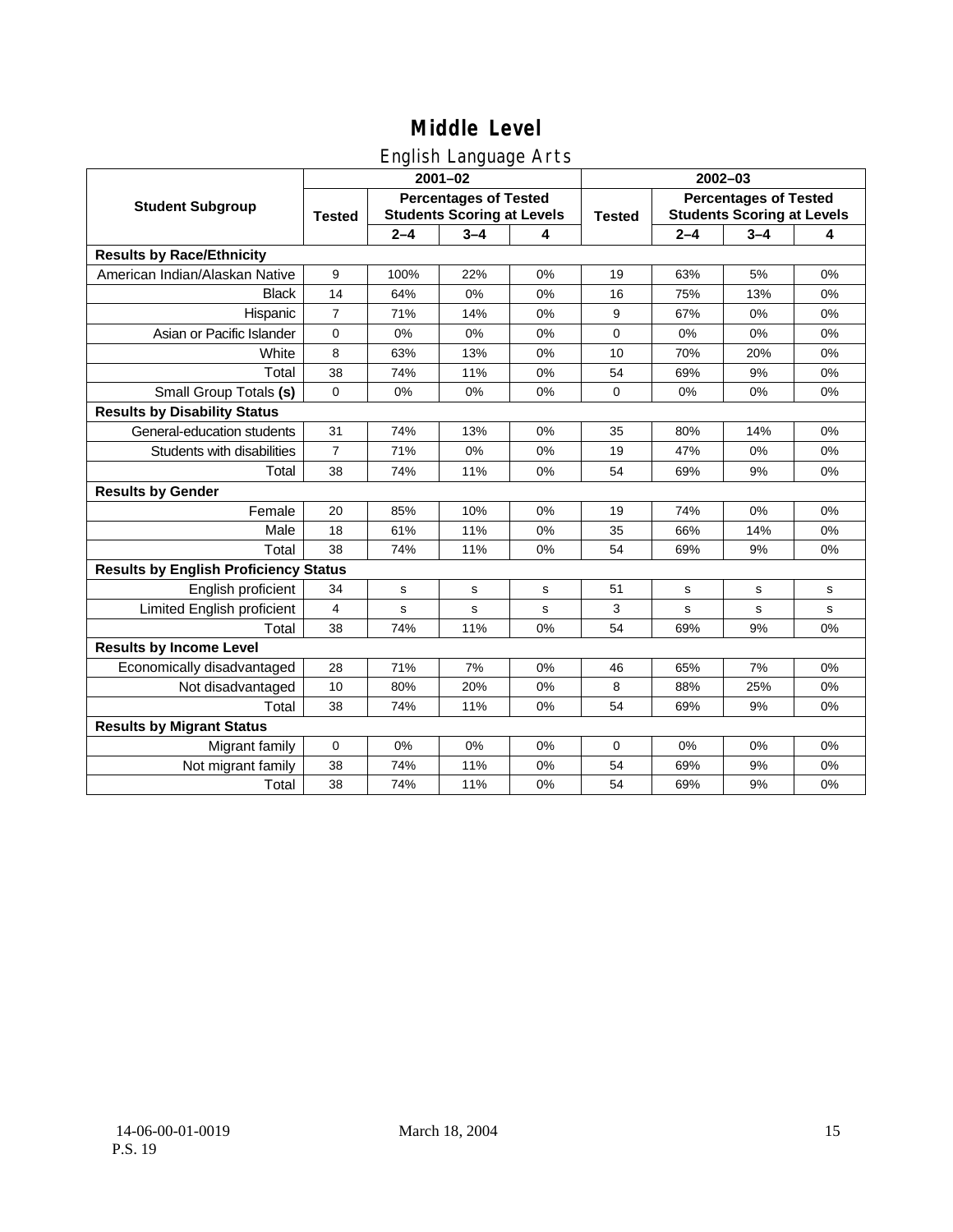### English Language Arts

|                                              |                |                                                                   | ◡<br>$2001 - 02$ |       | $2002 - 03$   |                                                                   |                                                                                                                                           |           |  |
|----------------------------------------------|----------------|-------------------------------------------------------------------|------------------|-------|---------------|-------------------------------------------------------------------|-------------------------------------------------------------------------------------------------------------------------------------------|-----------|--|
| <b>Student Subgroup</b>                      | <b>Tested</b>  | <b>Percentages of Tested</b><br><b>Students Scoring at Levels</b> |                  |       | <b>Tested</b> | <b>Percentages of Tested</b><br><b>Students Scoring at Levels</b> |                                                                                                                                           |           |  |
|                                              |                | $2 - 4$                                                           | $3 - 4$          | 4     |               | $2 - 4$                                                           | $3 - 4$<br>5%<br>13%<br>0%<br>0%<br>20%<br>9%<br>0%<br>14%<br>0%<br>9%<br>$0\%$<br>14%<br>9%<br>$\mathbf s$<br>s<br>9%<br>7%<br>25%<br>9% | 4         |  |
| <b>Results by Race/Ethnicity</b>             |                |                                                                   |                  |       |               |                                                                   |                                                                                                                                           |           |  |
| American Indian/Alaskan Native               | 9              | 100%                                                              | 22%              | 0%    | 19            | 63%                                                               |                                                                                                                                           | 0%        |  |
| <b>Black</b>                                 | 14             | 64%                                                               | 0%               | 0%    | 16            | 75%                                                               |                                                                                                                                           | 0%        |  |
| Hispanic                                     | $\overline{7}$ | 71%                                                               | 14%              | $0\%$ | 9             | 67%                                                               |                                                                                                                                           | 0%        |  |
| Asian or Pacific Islander                    | 0              | 0%                                                                | 0%               | 0%    | 0             | 0%                                                                |                                                                                                                                           | 0%        |  |
| White                                        | 8              | 63%                                                               | 13%              | 0%    | 10            | 70%                                                               |                                                                                                                                           | 0%        |  |
| Total                                        | 38             | 74%                                                               | 11%              | 0%    | 54            | 69%                                                               |                                                                                                                                           | 0%        |  |
| Small Group Totals (s)                       | 0              | 0%                                                                | 0%               | 0%    | 0             | 0%                                                                |                                                                                                                                           | 0%        |  |
| <b>Results by Disability Status</b>          |                |                                                                   |                  |       |               |                                                                   |                                                                                                                                           |           |  |
| General-education students                   | 31             | 74%                                                               | 13%              | 0%    | 35            | 80%                                                               |                                                                                                                                           | 0%        |  |
| Students with disabilities                   | $\overline{7}$ | 71%                                                               | 0%               | 0%    | 19            | 47%                                                               |                                                                                                                                           | 0%        |  |
| Total                                        | 38             | 74%                                                               | 11%              | 0%    | 54            | 69%                                                               |                                                                                                                                           | 0%        |  |
| <b>Results by Gender</b>                     |                |                                                                   |                  |       |               |                                                                   |                                                                                                                                           |           |  |
| Female                                       | 20             | 85%                                                               | 10%              | $0\%$ | 19            | 74%                                                               |                                                                                                                                           | 0%        |  |
| Male                                         | 18             | 61%                                                               | 11%              | 0%    | 35            | 66%                                                               |                                                                                                                                           | 0%        |  |
| Total                                        | 38             | 74%                                                               | 11%              | 0%    | 54            | 69%                                                               |                                                                                                                                           | 0%        |  |
| <b>Results by English Proficiency Status</b> |                |                                                                   |                  |       |               |                                                                   |                                                                                                                                           |           |  |
| English proficient                           | 34             | $\mathbf s$                                                       | $\mathbf s$      | s     | 51            | s                                                                 |                                                                                                                                           | ${\tt s}$ |  |
| Limited English proficient                   | 4              | s                                                                 | s                | s     | 3             | s                                                                 |                                                                                                                                           | s         |  |
| Total                                        | 38             | 74%                                                               | 11%              | 0%    | 54            | 69%                                                               |                                                                                                                                           | 0%        |  |
| <b>Results by Income Level</b>               |                |                                                                   |                  |       |               |                                                                   |                                                                                                                                           |           |  |
| Economically disadvantaged                   | 28             | 71%                                                               | 7%               | 0%    | 46            | 65%                                                               |                                                                                                                                           | 0%        |  |
| Not disadvantaged                            | 10             | 80%                                                               | 20%              | 0%    | 8             | 88%                                                               |                                                                                                                                           | 0%        |  |
| Total                                        | 38             | 74%                                                               | 11%              | 0%    | 54            | 69%                                                               |                                                                                                                                           | 0%        |  |
| <b>Results by Migrant Status</b>             |                |                                                                   |                  |       |               |                                                                   |                                                                                                                                           |           |  |
| Migrant family                               | 0              | 0%                                                                | 0%               | 0%    | $\mathbf 0$   | 0%                                                                | 0%                                                                                                                                        | 0%        |  |
| Not migrant family                           | 38             | 74%                                                               | 11%              | 0%    | 54            | 69%                                                               | 9%                                                                                                                                        | 0%        |  |
| Total                                        | 38             | 74%                                                               | 11%              | 0%    | 54            | 69%                                                               | 9%                                                                                                                                        | 0%        |  |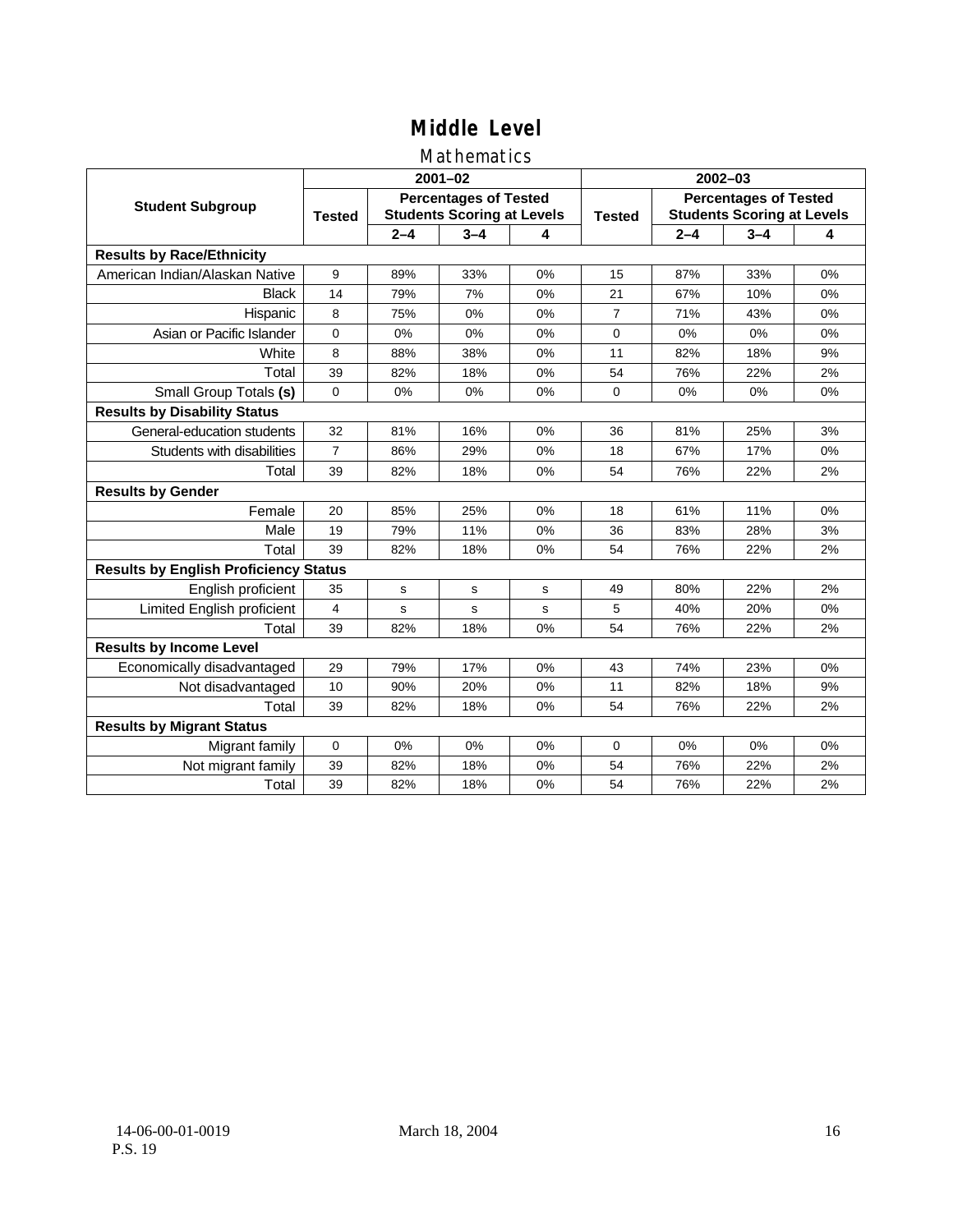### Mathematics

|                                              |                |             | $2001 - 02$                                                       |    | 2002-03        |                                                                   |         |    |  |
|----------------------------------------------|----------------|-------------|-------------------------------------------------------------------|----|----------------|-------------------------------------------------------------------|---------|----|--|
| <b>Student Subgroup</b>                      | <b>Tested</b>  |             | <b>Percentages of Tested</b><br><b>Students Scoring at Levels</b> |    | <b>Tested</b>  | <b>Percentages of Tested</b><br><b>Students Scoring at Levels</b> |         |    |  |
|                                              |                | $2 - 4$     | $3 - 4$                                                           | 4  |                | $2 - 4$                                                           | $3 - 4$ | 4  |  |
| <b>Results by Race/Ethnicity</b>             |                |             |                                                                   |    |                |                                                                   |         |    |  |
| American Indian/Alaskan Native               | 9              | 89%         | 33%                                                               | 0% | 15             | 87%                                                               | 33%     | 0% |  |
| <b>Black</b>                                 | 14             | 79%         | 7%                                                                | 0% | 21             | 67%                                                               | 10%     | 0% |  |
| Hispanic                                     | 8              | 75%         | 0%                                                                | 0% | $\overline{7}$ | 71%                                                               | 43%     | 0% |  |
| Asian or Pacific Islander                    | 0              | 0%          | 0%                                                                | 0% | 0              | 0%                                                                | 0%      | 0% |  |
| White                                        | 8              | 88%         | 38%                                                               | 0% | 11             | 82%                                                               | 18%     | 9% |  |
| Total                                        | 39             | 82%         | 18%                                                               | 0% | 54             | 76%                                                               | 22%     | 2% |  |
| Small Group Totals (s)                       | $\Omega$       | 0%          | 0%                                                                | 0% | $\Omega$       | 0%                                                                | 0%      | 0% |  |
| <b>Results by Disability Status</b>          |                |             |                                                                   |    |                |                                                                   |         |    |  |
| General-education students                   | 32             | 81%         | 16%                                                               | 0% | 36             | 81%                                                               | 25%     | 3% |  |
| Students with disabilities                   | $\overline{7}$ | 86%         | 29%                                                               | 0% | 18             | 67%                                                               | 17%     | 0% |  |
| Total                                        | 39             | 82%         | 18%                                                               | 0% | 54             | 76%                                                               | 22%     | 2% |  |
| <b>Results by Gender</b>                     |                |             |                                                                   |    |                |                                                                   |         |    |  |
| Female                                       | 20             | 85%         | 25%                                                               | 0% | 18             | 61%                                                               | 11%     | 0% |  |
| Male                                         | 19             | 79%         | 11%                                                               | 0% | 36             | 83%                                                               | 28%     | 3% |  |
| Total                                        | 39             | 82%         | 18%                                                               | 0% | 54             | 76%                                                               | 22%     | 2% |  |
| <b>Results by English Proficiency Status</b> |                |             |                                                                   |    |                |                                                                   |         |    |  |
| English proficient                           | 35             | $\mathbf s$ | s                                                                 | s  | 49             | 80%                                                               | 22%     | 2% |  |
| <b>Limited English proficient</b>            | $\overline{4}$ | s           | $\mathbf s$                                                       | s  | 5              | 40%                                                               | 20%     | 0% |  |
| Total                                        | 39             | 82%         | 18%                                                               | 0% | 54             | 76%                                                               | 22%     | 2% |  |
| <b>Results by Income Level</b>               |                |             |                                                                   |    |                |                                                                   |         |    |  |
| Economically disadvantaged                   | 29             | 79%         | 17%                                                               | 0% | 43             | 74%                                                               | 23%     | 0% |  |
| Not disadvantaged                            | 10             | 90%         | 20%                                                               | 0% | 11             | 82%                                                               | 18%     | 9% |  |
| Total                                        | 39             | 82%         | 18%                                                               | 0% | 54             | 76%                                                               | 22%     | 2% |  |
| <b>Results by Migrant Status</b>             |                |             |                                                                   |    |                |                                                                   |         |    |  |
| Migrant family                               | 0              | 0%          | 0%                                                                | 0% | $\Omega$       | 0%                                                                | 0%      | 0% |  |
| Not migrant family                           | 39             | 82%         | 18%                                                               | 0% | 54             | 76%                                                               | 22%     | 2% |  |
| Total                                        | 39             | 82%         | 18%                                                               | 0% | 54             | 76%                                                               | 22%     | 2% |  |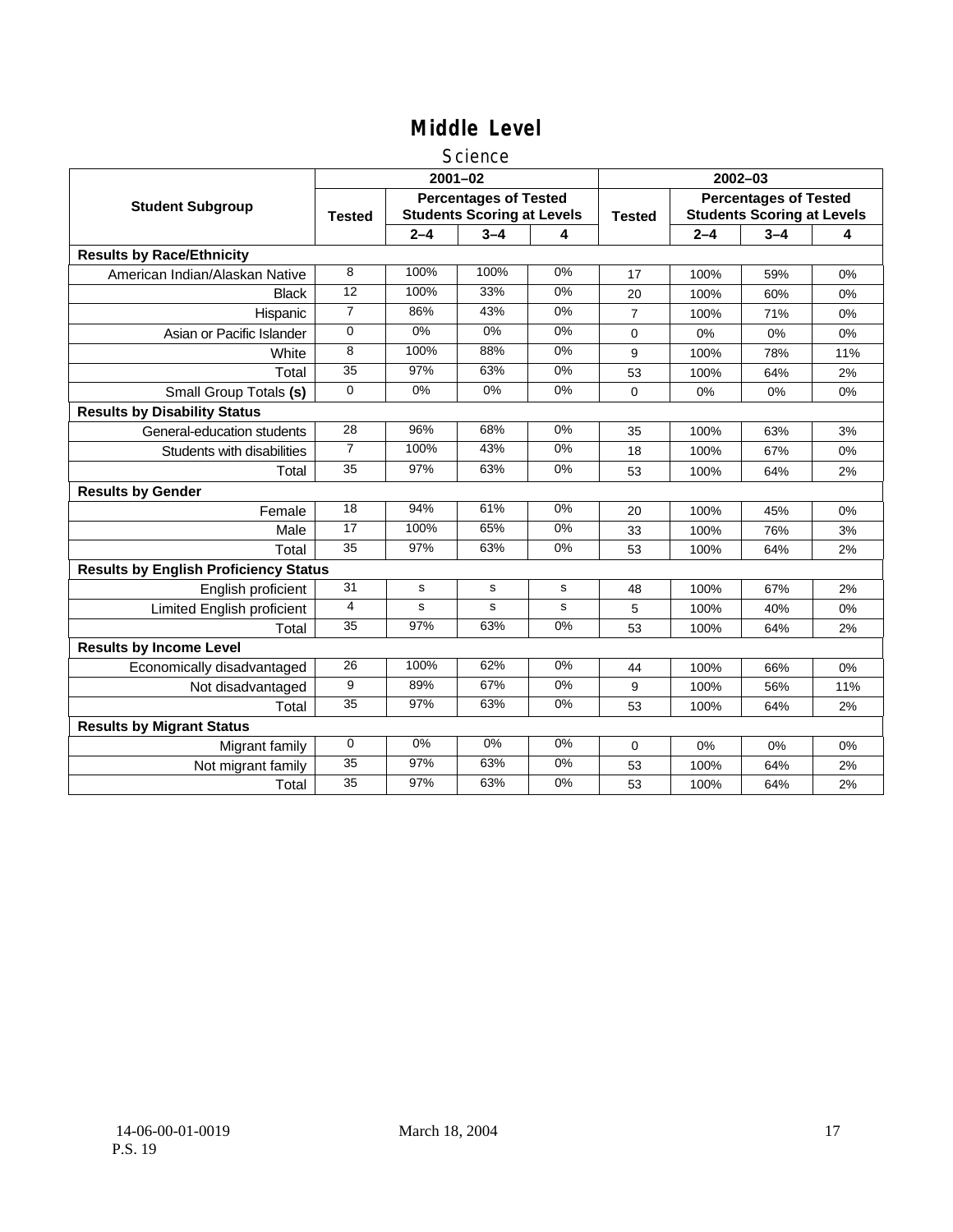### Science

|                                              |                 |         | $2001 - 02$                                                       |       | $2002 - 03$    |                                                                   |         |     |  |
|----------------------------------------------|-----------------|---------|-------------------------------------------------------------------|-------|----------------|-------------------------------------------------------------------|---------|-----|--|
| <b>Student Subgroup</b>                      | <b>Tested</b>   |         | <b>Percentages of Tested</b><br><b>Students Scoring at Levels</b> |       | <b>Tested</b>  | <b>Percentages of Tested</b><br><b>Students Scoring at Levels</b> |         |     |  |
|                                              |                 | $2 - 4$ | $3 - 4$                                                           | 4     |                | $2 - 4$                                                           | $3 - 4$ | 4   |  |
| <b>Results by Race/Ethnicity</b>             |                 |         |                                                                   |       |                |                                                                   |         |     |  |
| American Indian/Alaskan Native               | 8               | 100%    | 100%                                                              | 0%    | 17             | 100%                                                              | 59%     | 0%  |  |
| <b>Black</b>                                 | 12              | 100%    | 33%                                                               | 0%    | 20             | 100%                                                              | 60%     | 0%  |  |
| Hispanic                                     | $\overline{7}$  | 86%     | 43%                                                               | 0%    | $\overline{7}$ | 100%                                                              | 71%     | 0%  |  |
| Asian or Pacific Islander                    | $\Omega$        | 0%      | 0%                                                                | $0\%$ | 0              | 0%                                                                | 0%      | 0%  |  |
| White                                        | 8               | 100%    | 88%                                                               | 0%    | 9              | 100%                                                              | 78%     | 11% |  |
| Total                                        | 35              | 97%     | 63%                                                               | 0%    | 53             | 100%                                                              | 64%     | 2%  |  |
| Small Group Totals (s)                       | $\mathbf 0$     | 0%      | 0%                                                                | 0%    | 0              | 0%                                                                | 0%      | 0%  |  |
| <b>Results by Disability Status</b>          |                 |         |                                                                   |       |                |                                                                   |         |     |  |
| General-education students                   | 28              | 96%     | 68%                                                               | 0%    | 35             | 100%                                                              | 63%     | 3%  |  |
| Students with disabilities                   | $\overline{7}$  | 100%    | 43%                                                               | $0\%$ | 18             | 100%                                                              | 67%     | 0%  |  |
| Total                                        | 35              | 97%     | 63%                                                               | 0%    | 53             | 100%                                                              | 64%     | 2%  |  |
| <b>Results by Gender</b>                     |                 |         |                                                                   |       |                |                                                                   |         |     |  |
| Female                                       | 18              | 94%     | 61%                                                               | 0%    | 20             | 100%                                                              | 45%     | 0%  |  |
| Male                                         | 17              | 100%    | 65%                                                               | 0%    | 33             | 100%                                                              | 76%     | 3%  |  |
| Total                                        | 35              | 97%     | 63%                                                               | 0%    | 53             | 100%                                                              | 64%     | 2%  |  |
| <b>Results by English Proficiency Status</b> |                 |         |                                                                   |       |                |                                                                   |         |     |  |
| English proficient                           | 31              | s       | s                                                                 | s     | 48             | 100%                                                              | 67%     | 2%  |  |
| Limited English proficient                   | 4               | s       | s                                                                 | s     | 5              | 100%                                                              | 40%     | 0%  |  |
| Total                                        | 35              | 97%     | 63%                                                               | 0%    | 53             | 100%                                                              | 64%     | 2%  |  |
| <b>Results by Income Level</b>               |                 |         |                                                                   |       |                |                                                                   |         |     |  |
| Economically disadvantaged                   | 26              | 100%    | 62%                                                               | 0%    | 44             | 100%                                                              | 66%     | 0%  |  |
| Not disadvantaged                            | 9               | 89%     | 67%                                                               | 0%    | 9              | 100%                                                              | 56%     | 11% |  |
| Total                                        | 35              | 97%     | 63%                                                               | 0%    | 53             | 100%                                                              | 64%     | 2%  |  |
| <b>Results by Migrant Status</b>             |                 |         |                                                                   |       |                |                                                                   |         |     |  |
| Migrant family                               | 0               | 0%      | 0%                                                                | 0%    | 0              | 0%                                                                | 0%      | 0%  |  |
| Not migrant family                           | $\overline{35}$ | 97%     | 63%                                                               | $0\%$ | 53             | 100%                                                              | 64%     | 2%  |  |
| Total                                        | $\overline{35}$ | 97%     | 63%                                                               | 0%    | 53             | 100%                                                              | 64%     | 2%  |  |